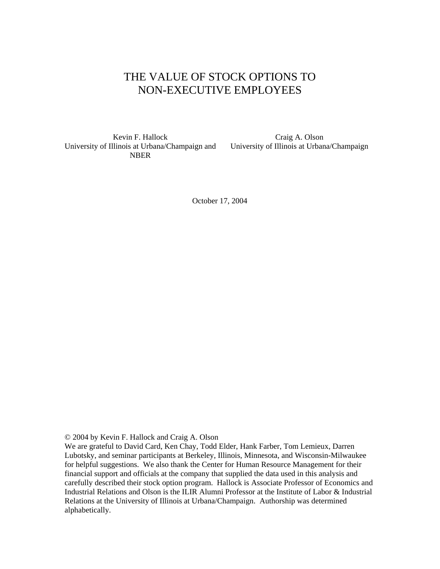# THE VALUE OF STOCK OPTIONS TO NON-EXECUTIVE EMPLOYEES

Kevin F. Hallock University of Illinois at Urbana/Champaign and NBER

Craig A. Olson University of Illinois at Urbana/Champaign

October 17, 2004

© 2004 by Kevin F. Hallock and Craig A. Olson

We are grateful to David Card, Ken Chay, Todd Elder, Hank Farber, Tom Lemieux, Darren Lubotsky, and seminar participants at Berkeley, Illinois, Minnesota, and Wisconsin-Milwaukee for helpful suggestions. We also thank the Center for Human Resource Management for their financial support and officials at the company that supplied the data used in this analysis and carefully described their stock option program. Hallock is Associate Professor of Economics and Industrial Relations and Olson is the ILIR Alumni Professor at the Institute of Labor & Industrial Relations at the University of Illinois at Urbana/Champaign. Authorship was determined alphabetically.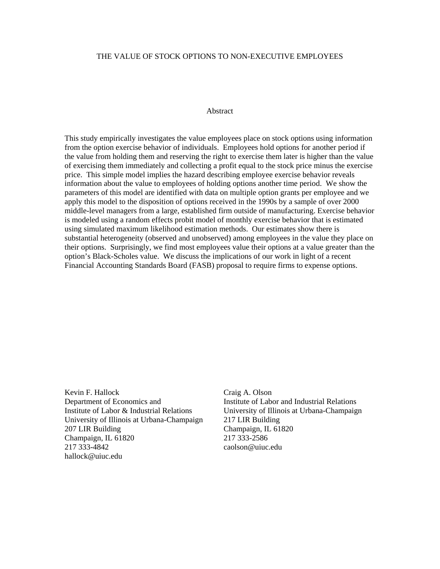### THE VALUE OF STOCK OPTIONS TO NON-EXECUTIVE EMPLOYEES

### Abstract

This study empirically investigates the value employees place on stock options using information from the option exercise behavior of individuals. Employees hold options for another period if the value from holding them and reserving the right to exercise them later is higher than the value of exercising them immediately and collecting a profit equal to the stock price minus the exercise price. This simple model implies the hazard describing employee exercise behavior reveals information about the value to employees of holding options another time period. We show the parameters of this model are identified with data on multiple option grants per employee and we apply this model to the disposition of options received in the 1990s by a sample of over 2000 middle-level managers from a large, established firm outside of manufacturing. Exercise behavior is modeled using a random effects probit model of monthly exercise behavior that is estimated using simulated maximum likelihood estimation methods. Our estimates show there is substantial heterogeneity (observed and unobserved) among employees in the value they place on their options. Surprisingly, we find most employees value their options at a value greater than the option's Black-Scholes value. We discuss the implications of our work in light of a recent Financial Accounting Standards Board (FASB) proposal to require firms to expense options.

Kevin F. Hallock Department of Economics and Institute of Labor & Industrial Relations University of Illinois at Urbana-Champaign 207 LIR Building Champaign, IL 61820 217 333-4842 hallock@uiuc.edu

Craig A. Olson Institute of Labor and Industrial Relations University of Illinois at Urbana-Champaign 217 LIR Building Champaign, IL 61820 217 333-2586 caolson@uiuc.edu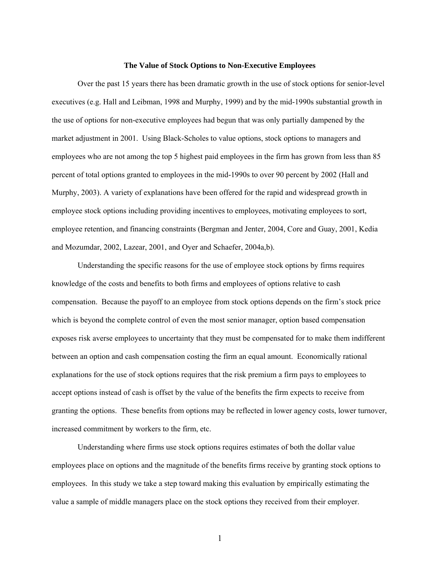#### **The Value of Stock Options to Non-Executive Employees**

 Over the past 15 years there has been dramatic growth in the use of stock options for senior-level executives (e.g. Hall and Leibman, 1998 and Murphy, 1999) and by the mid-1990s substantial growth in the use of options for non-executive employees had begun that was only partially dampened by the market adjustment in 2001. Using Black-Scholes to value options, stock options to managers and employees who are not among the top 5 highest paid employees in the firm has grown from less than 85 percent of total options granted to employees in the mid-1990s to over 90 percent by 2002 (Hall and Murphy, 2003). A variety of explanations have been offered for the rapid and widespread growth in employee stock options including providing incentives to employees, motivating employees to sort, employee retention, and financing constraints (Bergman and Jenter, 2004, Core and Guay, 2001, Kedia and Mozumdar, 2002, Lazear, 2001, and Oyer and Schaefer, 2004a,b).

Understanding the specific reasons for the use of employee stock options by firms requires knowledge of the costs and benefits to both firms and employees of options relative to cash compensation. Because the payoff to an employee from stock options depends on the firm's stock price which is beyond the complete control of even the most senior manager, option based compensation exposes risk averse employees to uncertainty that they must be compensated for to make them indifferent between an option and cash compensation costing the firm an equal amount. Economically rational explanations for the use of stock options requires that the risk premium a firm pays to employees to accept options instead of cash is offset by the value of the benefits the firm expects to receive from granting the options. These benefits from options may be reflected in lower agency costs, lower turnover, increased commitment by workers to the firm, etc.

Understanding where firms use stock options requires estimates of both the dollar value employees place on options and the magnitude of the benefits firms receive by granting stock options to employees. In this study we take a step toward making this evaluation by empirically estimating the value a sample of middle managers place on the stock options they received from their employer.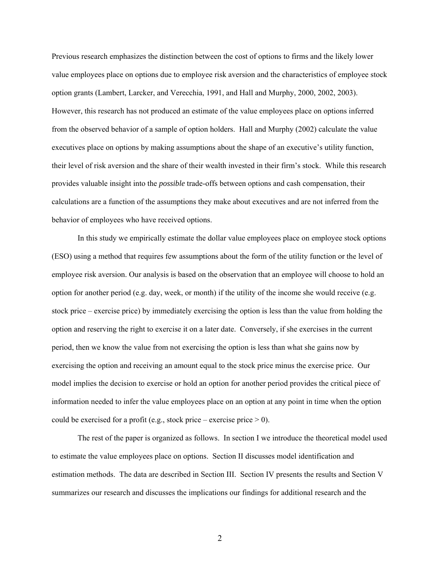Previous research emphasizes the distinction between the cost of options to firms and the likely lower value employees place on options due to employee risk aversion and the characteristics of employee stock option grants (Lambert, Larcker, and Verecchia, 1991, and Hall and Murphy, 2000, 2002, 2003). However, this research has not produced an estimate of the value employees place on options inferred from the observed behavior of a sample of option holders. Hall and Murphy (2002) calculate the value executives place on options by making assumptions about the shape of an executive's utility function, their level of risk aversion and the share of their wealth invested in their firm's stock. While this research provides valuable insight into the *possible* trade-offs between options and cash compensation, their calculations are a function of the assumptions they make about executives and are not inferred from the behavior of employees who have received options.

In this study we empirically estimate the dollar value employees place on employee stock options (ESO) using a method that requires few assumptions about the form of the utility function or the level of employee risk aversion. Our analysis is based on the observation that an employee will choose to hold an option for another period (e.g. day, week, or month) if the utility of the income she would receive (e.g. stock price – exercise price) by immediately exercising the option is less than the value from holding the option and reserving the right to exercise it on a later date. Conversely, if she exercises in the current period, then we know the value from not exercising the option is less than what she gains now by exercising the option and receiving an amount equal to the stock price minus the exercise price. Our model implies the decision to exercise or hold an option for another period provides the critical piece of information needed to infer the value employees place on an option at any point in time when the option could be exercised for a profit (e.g., stock price – exercise price  $> 0$ ).

 The rest of the paper is organized as follows. In section I we introduce the theoretical model used to estimate the value employees place on options. Section II discusses model identification and estimation methods. The data are described in Section III. Section IV presents the results and Section V summarizes our research and discusses the implications our findings for additional research and the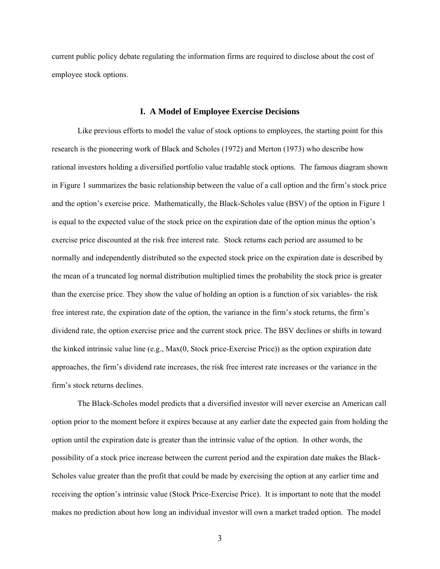current public policy debate regulating the information firms are required to disclose about the cost of employee stock options.

### **I. A Model of Employee Exercise Decisions**

Like previous efforts to model the value of stock options to employees, the starting point for this research is the pioneering work of Black and Scholes (1972) and Merton (1973) who describe how rational investors holding a diversified portfolio value tradable stock options. The famous diagram shown in Figure 1 summarizes the basic relationship between the value of a call option and the firm's stock price and the option's exercise price. Mathematically, the Black-Scholes value (BSV) of the option in Figure 1 is equal to the expected value of the stock price on the expiration date of the option minus the option's exercise price discounted at the risk free interest rate. Stock returns each period are assumed to be normally and independently distributed so the expected stock price on the expiration date is described by the mean of a truncated log normal distribution multiplied times the probability the stock price is greater than the exercise price. They show the value of holding an option is a function of six variables- the risk free interest rate, the expiration date of the option, the variance in the firm's stock returns, the firm's dividend rate, the option exercise price and the current stock price. The BSV declines or shifts in toward the kinked intrinsic value line (e.g., Max(0, Stock price-Exercise Price)) as the option expiration date approaches, the firm's dividend rate increases, the risk free interest rate increases or the variance in the firm's stock returns declines.

The Black-Scholes model predicts that a diversified investor will never exercise an American call option prior to the moment before it expires because at any earlier date the expected gain from holding the option until the expiration date is greater than the intrinsic value of the option. In other words, the possibility of a stock price increase between the current period and the expiration date makes the Black-Scholes value greater than the profit that could be made by exercising the option at any earlier time and receiving the option's intrinsic value (Stock Price-Exercise Price). It is important to note that the model makes no prediction about how long an individual investor will own a market traded option. The model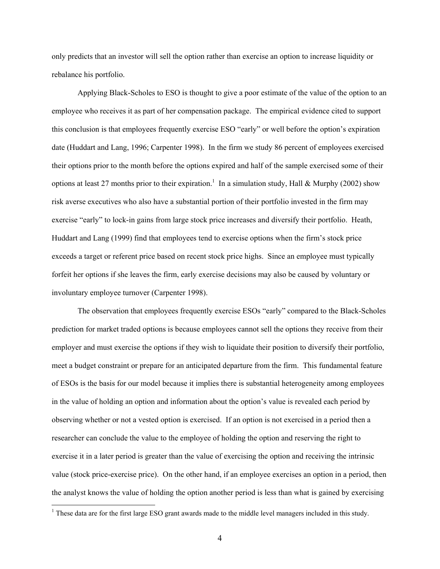only predicts that an investor will sell the option rather than exercise an option to increase liquidity or rebalance his portfolio.

Applying Black-Scholes to ESO is thought to give a poor estimate of the value of the option to an employee who receives it as part of her compensation package. The empirical evidence cited to support this conclusion is that employees frequently exercise ESO "early" or well before the option's expiration date (Huddart and Lang, 1996; Carpenter 1998). In the firm we study 86 percent of employees exercised their options prior to the month before the options expired and half of the sample exercised some of their options at least 27 months prior to their expiration.<sup>1</sup> In a simulation study, Hall & Murphy (2002) show risk averse executives who also have a substantial portion of their portfolio invested in the firm may exercise "early" to lock-in gains from large stock price increases and diversify their portfolio. Heath, Huddart and Lang (1999) find that employees tend to exercise options when the firm's stock price exceeds a target or referent price based on recent stock price highs. Since an employee must typically forfeit her options if she leaves the firm, early exercise decisions may also be caused by voluntary or involuntary employee turnover (Carpenter 1998).

The observation that employees frequently exercise ESOs "early" compared to the Black-Scholes prediction for market traded options is because employees cannot sell the options they receive from their employer and must exercise the options if they wish to liquidate their position to diversify their portfolio, meet a budget constraint or prepare for an anticipated departure from the firm. This fundamental feature of ESOs is the basis for our model because it implies there is substantial heterogeneity among employees in the value of holding an option and information about the option's value is revealed each period by observing whether or not a vested option is exercised. If an option is not exercised in a period then a researcher can conclude the value to the employee of holding the option and reserving the right to exercise it in a later period is greater than the value of exercising the option and receiving the intrinsic value (stock price-exercise price). On the other hand, if an employee exercises an option in a period, then the analyst knows the value of holding the option another period is less than what is gained by exercising

<sup>&</sup>lt;sup>1</sup> These data are for the first large ESO grant awards made to the middle level managers included in this study.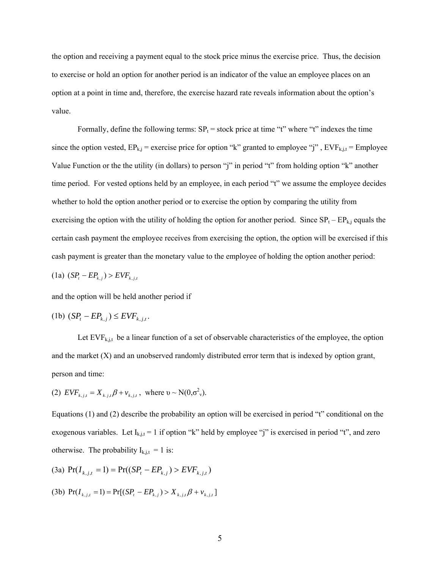the option and receiving a payment equal to the stock price minus the exercise price. Thus, the decision to exercise or hold an option for another period is an indicator of the value an employee places on an option at a point in time and, therefore, the exercise hazard rate reveals information about the option's value.

Formally, define the following terms:  $SP<sub>t</sub>$  = stock price at time "t" where "t" indexes the time since the option vested,  $EP_{k,j}$  = exercise price for option "k" granted to employee "j",  $EVF_{k,j,t}$  = Employee Value Function or the the utility (in dollars) to person "j" in period "t" from holding option "k" another time period. For vested options held by an employee, in each period "t" we assume the employee decides whether to hold the option another period or to exercise the option by comparing the utility from exercising the option with the utility of holding the option for another period. Since  $SP_t - EP_{k,j}$  equals the certain cash payment the employee receives from exercising the option, the option will be exercised if this cash payment is greater than the monetary value to the employee of holding the option another period:

(1a) 
$$
(SP_t - EP_{k,j}) > EVF_{k,j,t}
$$

and the option will be held another period if

$$
(1b) (SPt - EPk,j) \leq EVFk,j,t.
$$

Let  $EVF_{k,j,t}$  be a linear function of a set of observable characteristics of the employee, the option and the market (X) and an unobserved randomly distributed error term that is indexed by option grant, person and time:

(2) 
$$
EVF_{k,j,t} = X_{k,j,t} \beta + v_{k,j,t}
$$
, where  $v \sim N(0, \sigma_v^2)$ .

Equations (1) and (2) describe the probability an option will be exercised in period "t" conditional on the exogenous variables. Let  $I_{k,i,t} = 1$  if option "k" held by employee "j" is exercised in period "t", and zero otherwise. The probability  $I_{k,j,t} = 1$  is:

(3a)  $Pr(I_{k, i,t} = 1) = Pr((SP_t - EP_{k,i}) > EVF_{k, i,t})$ 

(3b) 
$$
Pr(I_{k,j,t} = 1) = Pr[(SP_t - EP_{k,j}) > X_{k,j,t} \beta + v_{k,j,t}]
$$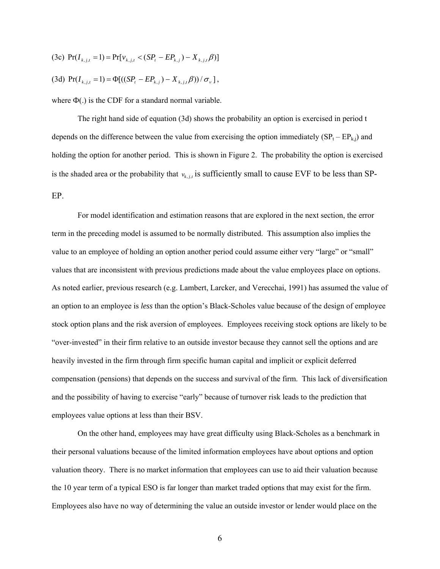- (3c)  $Pr(I_{k,j,t} = 1) = Pr[v_{k,j,t} < (SP_t EP_{k,j}) X_{k,j,t} \beta)]$
- (3d)  $\Pr(I_{k,j,t} = 1) = \Phi[((SP_t EP_{k,j}) X_{k,j,t}\beta))/\sigma_v],$

where  $\Phi(.)$  is the CDF for a standard normal variable.

The right hand side of equation (3d) shows the probability an option is exercised in period t depends on the difference between the value from exercising the option immediately  $(SP_t - EP_{k,i})$  and holding the option for another period. This is shown in Figure 2. The probability the option is exercised is the shaded area or the probability that  $v_{k,j,t}$  is sufficiently small to cause EVF to be less than SP-EP.

 For model identification and estimation reasons that are explored in the next section, the error term in the preceding model is assumed to be normally distributed. This assumption also implies the value to an employee of holding an option another period could assume either very "large" or "small" values that are inconsistent with previous predictions made about the value employees place on options. As noted earlier, previous research (e.g. Lambert, Larcker, and Verecchai, 1991) has assumed the value of an option to an employee is *less* than the option's Black-Scholes value because of the design of employee stock option plans and the risk aversion of employees. Employees receiving stock options are likely to be "over-invested" in their firm relative to an outside investor because they cannot sell the options and are heavily invested in the firm through firm specific human capital and implicit or explicit deferred compensation (pensions) that depends on the success and survival of the firm. This lack of diversification and the possibility of having to exercise "early" because of turnover risk leads to the prediction that employees value options at less than their BSV.

 On the other hand, employees may have great difficulty using Black-Scholes as a benchmark in their personal valuations because of the limited information employees have about options and option valuation theory. There is no market information that employees can use to aid their valuation because the 10 year term of a typical ESO is far longer than market traded options that may exist for the firm. Employees also have no way of determining the value an outside investor or lender would place on the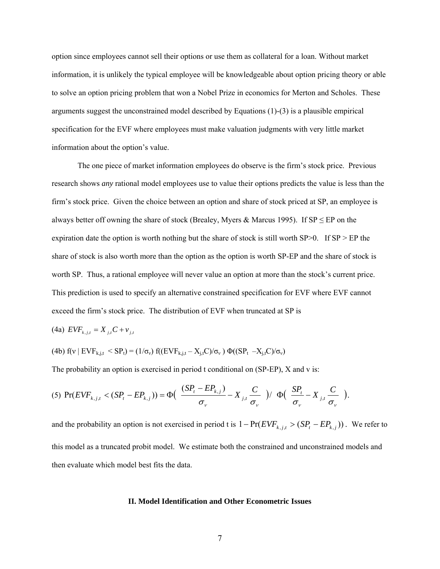option since employees cannot sell their options or use them as collateral for a loan. Without market information, it is unlikely the typical employee will be knowledgeable about option pricing theory or able to solve an option pricing problem that won a Nobel Prize in economics for Merton and Scholes. These arguments suggest the unconstrained model described by Equations (1)-(3) is a plausible empirical specification for the EVF where employees must make valuation judgments with very little market information about the option's value.

 The one piece of market information employees do observe is the firm's stock price. Previous research shows *any* rational model employees use to value their options predicts the value is less than the firm's stock price. Given the choice between an option and share of stock priced at SP, an employee is always better off owning the share of stock (Brealey, Myers & Marcus 1995). If  $SP \leq EP$  on the expiration date the option is worth nothing but the share of stock is still worth SP $>0$ . If SP $>$ EP the share of stock is also worth more than the option as the option is worth SP-EP and the share of stock is worth SP. Thus, a rational employee will never value an option at more than the stock's current price. This prediction is used to specify an alternative constrained specification for EVF where EVF cannot exceed the firm's stock price. The distribution of EVF when truncated at SP is

(4a) 
$$
EVF_{k,j,t} = X_{j,t}C + v_{j,t}
$$

(4b) 
$$
f(v \mid EVF_{k,j,t} < SP_t) = (1/\sigma_v) f((EVF_{k,j,t} - X_{j,t}C)/\sigma_v) \Phi((SP_t - X_{j,t}C)/\sigma_v)
$$

The probability an option is exercised in period t conditional on (SP-EP), X and v is:

$$
(5) \ \Pr(EVF_{k,j,t} < (SP_t - EP_{k,j})) = \Phi\left(\frac{(SP_t - EP_{k,j})}{\sigma_v} - X_{j,t} \frac{C}{\sigma_v}\right) / \ \Phi\left(\frac{SP_t}{\sigma_v} - X_{j,t} \frac{C}{\sigma_v}\right).
$$

and the probability an option is not exercised in period t is  $1 - Pr(EVF_{k,j,t} > (SP_t - EP_{k,j}))$ . We refer to this model as a truncated probit model. We estimate both the constrained and unconstrained models and then evaluate which model best fits the data.

#### **II. Model Identification and Other Econometric Issues**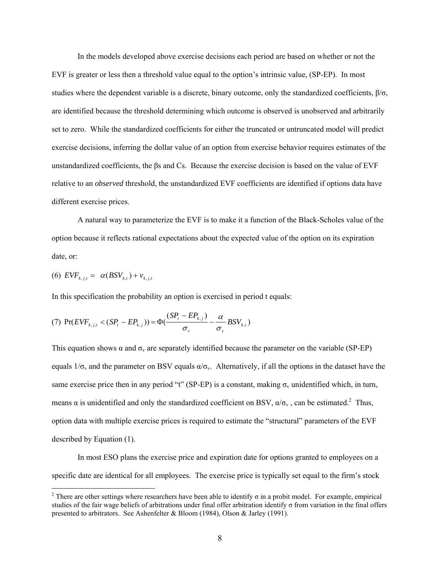In the models developed above exercise decisions each period are based on whether or not the EVF is greater or less then a threshold value equal to the option's intrinsic value, (SP-EP). In most studies where the dependent variable is a discrete, binary outcome, only the standardized coefficients,  $\beta/\sigma$ , are identified because the threshold determining which outcome is observed is unobserved and arbitrarily set to zero. While the standardized coefficients for either the truncated or untruncated model will predict exercise decisions, inferring the dollar value of an option from exercise behavior requires estimates of the unstandardized coefficients, the βs and Cs. Because the exercise decision is based on the value of EVF relative to an *observed* threshold, the unstandardized EVF coefficients are identified if options data have different exercise prices.

A natural way to parameterize the EVF is to make it a function of the Black-Scholes value of the option because it reflects rational expectations about the expected value of the option on its expiration date, or:

$$
(6) \text{ EVF}_{k,j,t} = \alpha (BSV_{k,t}) + v_{k,j,t}
$$

 $\overline{a}$ 

In this specification the probability an option is exercised in period t equals:

(7) 
$$
\Pr(EVF_{k,j,t} < (SP_t - EP_{k,j})) = \Phi(\frac{(SP_t - EP_{k,j})}{\sigma_v} - \frac{\alpha}{\sigma_v} BSV_{k,t})
$$

This equation shows  $\alpha$  and  $\sigma_v$  are separately identified because the parameter on the variable (SP-EP) equals  $1/\sigma_v$  and the parameter on BSV equals  $\alpha/\sigma_v$ . Alternatively, if all the options in the dataset have the same exercise price then in any period "t" (SP-EP) is a constant, making  $\sigma_v$  unidentified which, in turn, means  $\alpha$  is unidentified and only the standardized coefficient on BSV,  $\alpha/\sigma_v$ , can be estimated.<sup>2</sup> Thus, option data with multiple exercise prices is required to estimate the "structural" parameters of the EVF described by Equation (1).

 In most ESO plans the exercise price and expiration date for options granted to employees on a specific date are identical for all employees. The exercise price is typically set equal to the firm's stock

<sup>&</sup>lt;sup>2</sup> There are other settings where researchers have been able to identify  $\sigma$  in a probit model. For example, empirical studies of the fair wage beliefs of arbitrations under final offer arbitration identify σ from variation in the final offers presented to arbitrators. See Ashenfelter & Bloom (1984), Olson & Jarley (1991).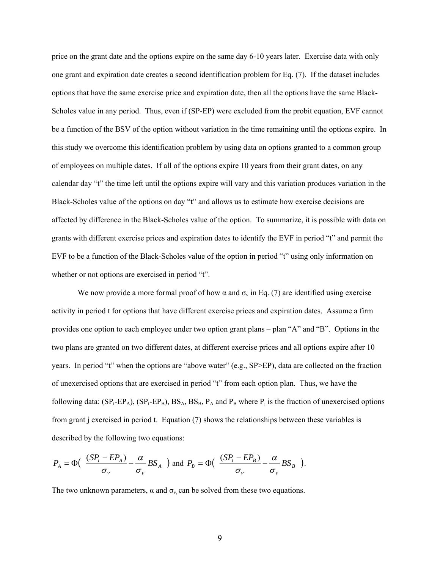price on the grant date and the options expire on the same day 6-10 years later. Exercise data with only one grant and expiration date creates a second identification problem for Eq. (7). If the dataset includes options that have the same exercise price and expiration date, then all the options have the same Black-Scholes value in any period. Thus, even if (SP-EP) were excluded from the probit equation, EVF cannot be a function of the BSV of the option without variation in the time remaining until the options expire. In this study we overcome this identification problem by using data on options granted to a common group of employees on multiple dates. If all of the options expire 10 years from their grant dates, on any calendar day "t" the time left until the options expire will vary and this variation produces variation in the Black-Scholes value of the options on day "t" and allows us to estimate how exercise decisions are affected by difference in the Black-Scholes value of the option. To summarize, it is possible with data on grants with different exercise prices and expiration dates to identify the EVF in period "t" and permit the EVF to be a function of the Black-Scholes value of the option in period "t" using only information on whether or not options are exercised in period "t".

We now provide a more formal proof of how  $\alpha$  and  $\sigma_v$  in Eq. (7) are identified using exercise activity in period t for options that have different exercise prices and expiration dates. Assume a firm provides one option to each employee under two option grant plans – plan "A" and "B". Options in the two plans are granted on two different dates, at different exercise prices and all options expire after 10 years. In period "t" when the options are "above water" (e.g., SP>EP), data are collected on the fraction of unexercised options that are exercised in period "t" from each option plan. Thus, we have the following data:  $(SP_t-EP_A)$ ,  $(SP_t-EP_B)$ ,  $BS_A$ ,  $BS_B$ ,  $P_A$  and  $P_B$  where  $P_i$  is the fraction of unexercised options from grant j exercised in period t. Equation (7) shows the relationships between these variables is described by the following two equations:

$$
P_A = \Phi\left(\frac{(SP_t - EP_A)}{\sigma_v} - \frac{\alpha}{\sigma_v} BS_A \right) \text{ and } P_B = \Phi\left(\frac{(SP_t - EP_B)}{\sigma_v} - \frac{\alpha}{\sigma_v} BS_B \right).
$$

The two unknown parameters,  $\alpha$  and  $\sigma_v$  can be solved from these two equations.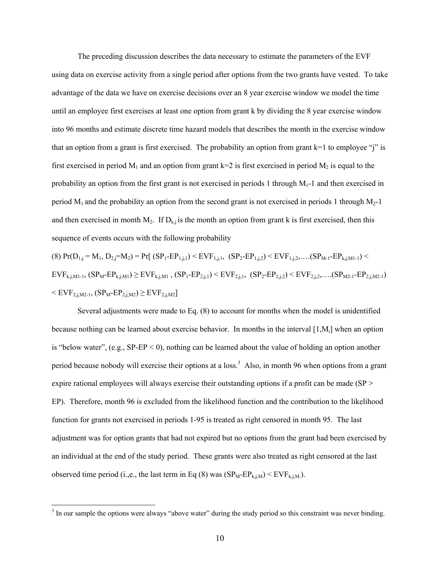The preceding discussion describes the data necessary to estimate the parameters of the EVF using data on exercise activity from a single period after options from the two grants have vested. To take advantage of the data we have on exercise decisions over an 8 year exercise window we model the time until an employee first exercises at least one option from grant k by dividing the 8 year exercise window into 96 months and estimate discrete time hazard models that describes the month in the exercise window that an option from a grant is first exercised. The probability an option from grant  $k=1$  to employee "j" is first exercised in period  $M_1$  and an option from grant k=2 is first exercised in period  $M_2$  is equal to the probability an option from the first grant is not exercised in periods 1 through  $M_1$ -1 and then exercised in period  $M_1$  and the probability an option from the second grant is not exercised in periods 1 through  $M_2$ -1 and then exercised in month  $M_2$ . If  $D_{k,j}$  is the month an option from grant k is first exercised, then this sequence of events occurs with the following probability

$$
(8) Pr(D_{1,j} = M_1, D_{2,j} = M_2) = Pr[ (SP_1 - EP_{1,j,1}) < EVF_{1,j,1}, (SP_2 - EP_{1,j,2}) < EVF_{1,j,2}, \dots (SP_{M-1} - EP_{k,j,M1-1}) < EVF_{k,j,M1-1}, (SP_M - EP_{k,j,M1}) \ge EVF_{k,j,M1}, (SP_1 - EP_{2,j,1}) < EVF_{2,j,1}, (SP_2 - EP_{2,j,2}) < EVF_{2,j,2}, \dots (SP_{M2-1} - EP_{2,j,M2-1}) < EVF_{2,j,M2-1}, (SP_M - EP_{2,j,M2}) \ge EVF_{2,j,M2}]
$$

Several adjustments were made to Eq. (8) to account for months when the model is unidentified because nothing can be learned about exercise behavior. In months in the interval [1,Mi] when an option is "below water",  $(e.g., SP-EP < 0)$ , nothing can be learned about the value of holding an option another period because nobody will exercise their options at a loss.<sup>3</sup> Also, in month 96 when options from a grant expire rational employees will always exercise their outstanding options if a profit can be made (SP > EP). Therefore, month 96 is excluded from the likelihood function and the contribution to the likelihood function for grants not exercised in periods 1-95 is treated as right censored in month 95. The last adjustment was for option grants that had not expired but no options from the grant had been exercised by an individual at the end of the study period. These grants were also treated as right censored at the last observed time period (i.,e., the last term in Eq (8) was  $(SP_M-EP_{k,i,M})$  <  $EVF_{k,i,M}$ ).

<sup>&</sup>lt;sup>3</sup> In our sample the options were always "above water" during the study period so this constraint was never binding.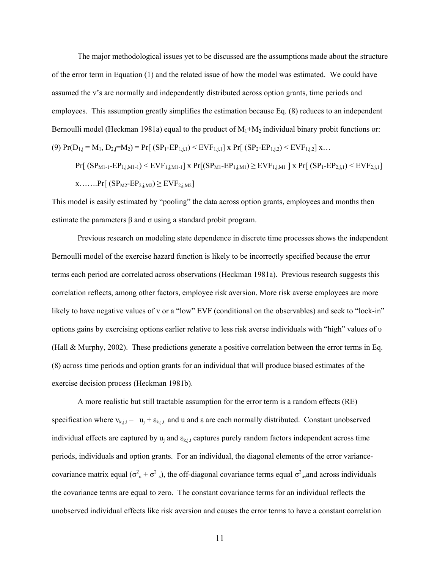The major methodological issues yet to be discussed are the assumptions made about the structure of the error term in Equation (1) and the related issue of how the model was estimated. We could have assumed the v's are normally and independently distributed across option grants, time periods and employees. This assumption greatly simplifies the estimation because Eq. (8) reduces to an independent Bernoulli model (Heckman 1981a) equal to the product of  $M_1 + M_2$  individual binary probit functions or: (9)  $Pr(D_{1,j} = M_1, D_{2,j} = M_2) = Pr[(SP_1 - EP_{1,j,1}) < EVF_{1,j,1}] \times Pr[(SP_2 - EP_{1,j,2}) < EVF_{1,j,2}] \times ...$ 

 $Pr[\ (SP_{M1-1}-EP_{1,j,M1-1})$  <  $EVF_{1,j,M1-1}]$  x  $Pr[(SP_{M1}-EP_{1,j,M1})$   $\geq$   $EVF_{1,j,M1}]$  x  $Pr[(SP_{1}-EP_{2,j,1})$  <  $EVF_{2,j,1}]$  $x$ …….Pr[ (SP<sub>M2</sub>-EP<sub>2,j,M2</sub>)  $\geq$  EVF<sub>2,j,M2</sub>]

This model is easily estimated by "pooling" the data across option grants, employees and months then estimate the parameters  $\beta$  and  $\sigma$  using a standard probit program.

Previous research on modeling state dependence in discrete time processes shows the independent Bernoulli model of the exercise hazard function is likely to be incorrectly specified because the error terms each period are correlated across observations (Heckman 1981a). Previous research suggests this correlation reflects, among other factors, employee risk aversion. More risk averse employees are more likely to have negative values of v or a "low" EVF (conditional on the observables) and seek to "lock-in" options gains by exercising options earlier relative to less risk averse individuals with "high" values of υ (Hall & Murphy, 2002). These predictions generate a positive correlation between the error terms in Eq. (8) across time periods and option grants for an individual that will produce biased estimates of the exercise decision process (Heckman 1981b).

 A more realistic but still tractable assumption for the error term is a random effects (RE) specification where  $v_{k,j,t} = u_j + \varepsilon_{k,j,t}$  and u and  $\varepsilon$  are each normally distributed. Constant unobserved individual effects are captured by  $u_i$  and  $\varepsilon_{k,i,t}$  captures purely random factors independent across time periods, individuals and option grants. For an individual, the diagonal elements of the error variancecovariance matrix equal ( $\sigma_u^2 + \sigma_z^2$ ), the off-diagonal covariance terms equal  $\sigma_u^2$ , and across individuals the covariance terms are equal to zero. The constant covariance terms for an individual reflects the unobserved individual effects like risk aversion and causes the error terms to have a constant correlation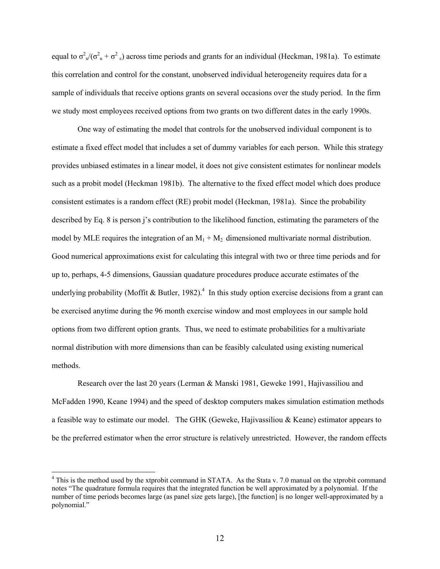equal to  $\sigma_u^2/(\sigma_u^2 + \sigma_s^2)$  across time periods and grants for an individual (Heckman, 1981a). To estimate this correlation and control for the constant, unobserved individual heterogeneity requires data for a sample of individuals that receive options grants on several occasions over the study period. In the firm we study most employees received options from two grants on two different dates in the early 1990s.

 One way of estimating the model that controls for the unobserved individual component is to estimate a fixed effect model that includes a set of dummy variables for each person. While this strategy provides unbiased estimates in a linear model, it does not give consistent estimates for nonlinear models such as a probit model (Heckman 1981b). The alternative to the fixed effect model which does produce consistent estimates is a random effect (RE) probit model (Heckman, 1981a). Since the probability described by Eq. 8 is person j's contribution to the likelihood function, estimating the parameters of the model by MLE requires the integration of an  $M_1 + M_2$  dimensioned multivariate normal distribution. Good numerical approximations exist for calculating this integral with two or three time periods and for up to, perhaps, 4-5 dimensions, Gaussian quadature procedures produce accurate estimates of the underlying probability (Moffit & Butler, 1982).<sup>4</sup> In this study option exercise decisions from a grant can be exercised anytime during the 96 month exercise window and most employees in our sample hold options from two different option grants. Thus, we need to estimate probabilities for a multivariate normal distribution with more dimensions than can be feasibly calculated using existing numerical methods.

Research over the last 20 years (Lerman & Manski 1981, Geweke 1991, Hajivassiliou and McFadden 1990, Keane 1994) and the speed of desktop computers makes simulation estimation methods a feasible way to estimate our model. The GHK (Geweke, Hajivassiliou & Keane) estimator appears to be the preferred estimator when the error structure is relatively unrestricted. However, the random effects

 $\overline{a}$ 

<sup>&</sup>lt;sup>4</sup> This is the method used by the xtprobit command in STATA. As the Stata v. 7.0 manual on the xtprobit command notes "The quadrature formula requires that the integrated function be well approximated by a polynomial. If the number of time periods becomes large (as panel size gets large), [the function] is no longer well-approximated by a polynomial."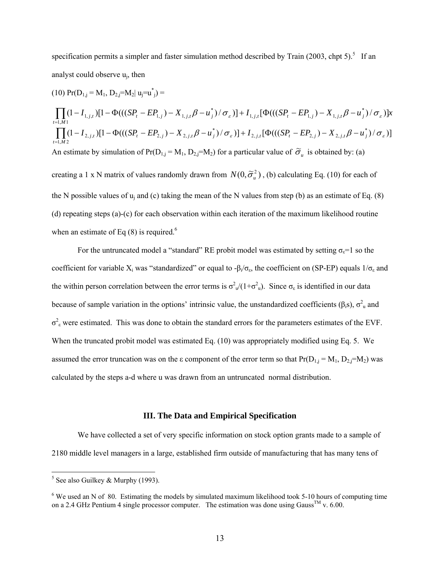specification permits a simpler and faster simulation method described by Train  $(2003, \text{chpt } 5)$ .<sup>5</sup> If an analyst could observe uj, then

(10) 
$$
Pr(D_{1,j} = M_1, D_{2,j} = M_2 | u_j = u_j^* =
$$
  
\n
$$
\prod_{t=1,M1} (1 - I_{1,j,t}) [1 - \Phi(((SP_t - EP_{1,j}) - X_{1,j,t} \beta - u_j^*) / \sigma_s)] + I_{1,j,t} [\Phi(((SP_t - EP_{1,j}) - X_{1,j,t} \beta - u_j^*) / \sigma_s)]x
$$
\n
$$
\prod_{t=1,M2} (1 - I_{2,j,t}) [1 - \Phi(((SP_t - EP_{2,j}) - X_{2,j,t} \beta - u_j^*) / \sigma_s)] + I_{2,j,t} [\Phi(((SP_t - EP_{2,j}) - X_{2,j,t} \beta - u_j^*) / \sigma_s)]
$$
\nAn estimate by simulation of  $Pr(D_{1,j} = M_1, D_{2,j} = M_2)$  for a particular value of  $\tilde{\sigma}_u$  is obtained by: (a)  
\ncreating a 1 x N matrix of values randomly drawn from  $N(0, \tilde{\sigma}_u^2)$ , (b) calculating Eq. (10) for each of  
\nthe N possible values of  $u_j$  and (c) taking the mean of the N values from step (b) as an estimate of Eq. (8)  
\n(d) repeating steps (a)-(c) for each observation within each iteration of the maximum likelihood routine  
\nwhen an estimate of Eq (8) is required.<sup>6</sup>

For the untruncated model a "standard" RE probit model was estimated by setting  $\sigma_{\epsilon}=1$  so the coefficient for variable  $X_i$  was "standardized" or equal to - $\beta_i/\sigma_{\epsilon}$ , the coefficient on (SP-EP) equals  $1/\sigma_{\epsilon}$  and the within person correlation between the error terms is  $\sigma_u^2/(1+\sigma_u^2)$ . Since  $\sigma_{\varepsilon}$  is identified in our data because of sample variation in the options' intrinsic value, the unstandardized coefficients ( $\beta_i$ s),  $\sigma_u^2$  and  $\sigma^2$ <sub>ε</sub> were estimated. This was done to obtain the standard errors for the parameters estimates of the EVF. When the truncated probit model was estimated Eq. (10) was appropriately modified using Eq. 5. We assumed the error truncation was on the  $\varepsilon$  component of the error term so that  $Pr(D_{1,j} = M_1, D_{2,j} = M_2)$  was calculated by the steps a-d where u was drawn from an untruncated normal distribution.

### **III. The Data and Empirical Specification**

 We have collected a set of very specific information on stock option grants made to a sample of 2180 middle level managers in a large, established firm outside of manufacturing that has many tens of

 $5$  See also Guilkey & Murphy (1993).

<sup>&</sup>lt;sup>6</sup> We used an N of 80. Estimating the models by simulated maximum likelihood took 5-10 hours of computing time on a 2.4 GHz Pentium 4 single processor computer. The estimation was done using Gauss<sup>TM</sup> v. 6.00.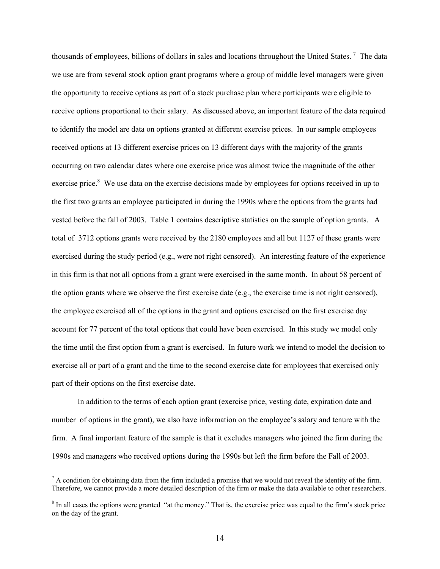thousands of employees, billions of dollars in sales and locations throughout the United States.<sup>7</sup> The data we use are from several stock option grant programs where a group of middle level managers were given the opportunity to receive options as part of a stock purchase plan where participants were eligible to receive options proportional to their salary. As discussed above, an important feature of the data required to identify the model are data on options granted at different exercise prices. In our sample employees received options at 13 different exercise prices on 13 different days with the majority of the grants occurring on two calendar dates where one exercise price was almost twice the magnitude of the other exercise price.<sup>8</sup> We use data on the exercise decisions made by employees for options received in up to the first two grants an employee participated in during the 1990s where the options from the grants had vested before the fall of 2003. Table 1 contains descriptive statistics on the sample of option grants. A total of 3712 options grants were received by the 2180 employees and all but 1127 of these grants were exercised during the study period (e.g., were not right censored). An interesting feature of the experience in this firm is that not all options from a grant were exercised in the same month. In about 58 percent of the option grants where we observe the first exercise date (e.g., the exercise time is not right censored), the employee exercised all of the options in the grant and options exercised on the first exercise day account for 77 percent of the total options that could have been exercised. In this study we model only the time until the first option from a grant is exercised. In future work we intend to model the decision to exercise all or part of a grant and the time to the second exercise date for employees that exercised only part of their options on the first exercise date.

In addition to the terms of each option grant (exercise price, vesting date, expiration date and number of options in the grant), we also have information on the employee's salary and tenure with the firm. A final important feature of the sample is that it excludes managers who joined the firm during the 1990s and managers who received options during the 1990s but left the firm before the Fall of 2003.

 $\overline{a}$ 

 $<sup>7</sup>$  A condition for obtaining data from the firm included a promise that we would not reveal the identity of the firm.</sup> Therefore, we cannot provide a more detailed description of the firm or make the data available to other researchers.

 $8 \text{ In all cases the options were granted "at the money." That is, the exercise price was equal to the firm's stock price.}$ on the day of the grant.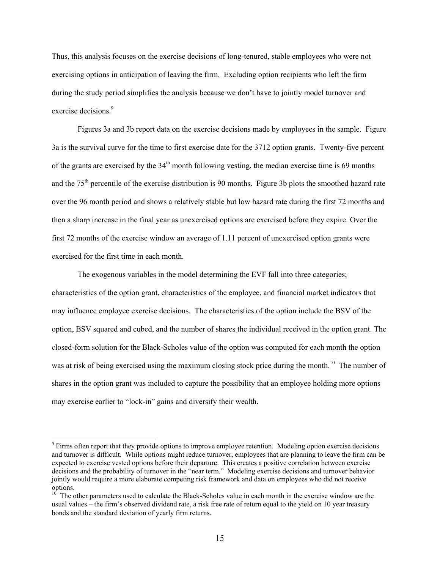Thus, this analysis focuses on the exercise decisions of long-tenured, stable employees who were not exercising options in anticipation of leaving the firm. Excluding option recipients who left the firm during the study period simplifies the analysis because we don't have to jointly model turnover and exercise decisions.<sup>9</sup>

 Figures 3a and 3b report data on the exercise decisions made by employees in the sample. Figure 3a is the survival curve for the time to first exercise date for the 3712 option grants. Twenty-five percent of the grants are exercised by the  $34<sup>th</sup>$  month following vesting, the median exercise time is 69 months and the 75th percentile of the exercise distribution is 90 months. Figure 3b plots the smoothed hazard rate over the 96 month period and shows a relatively stable but low hazard rate during the first 72 months and then a sharp increase in the final year as unexercised options are exercised before they expire. Over the first 72 months of the exercise window an average of 1.11 percent of unexercised option grants were exercised for the first time in each month.

 The exogenous variables in the model determining the EVF fall into three categories; characteristics of the option grant, characteristics of the employee, and financial market indicators that may influence employee exercise decisions. The characteristics of the option include the BSV of the option, BSV squared and cubed, and the number of shares the individual received in the option grant. The closed-form solution for the Black-Scholes value of the option was computed for each month the option was at risk of being exercised using the maximum closing stock price during the month.<sup>10</sup> The number of shares in the option grant was included to capture the possibility that an employee holding more options may exercise earlier to "lock-in" gains and diversify their wealth.

 $\overline{a}$ 

<sup>&</sup>lt;sup>9</sup> Firms often report that they provide options to improve employee retention. Modeling option exercise decisions and turnover is difficult. While options might reduce turnover, employees that are planning to leave the firm can be expected to exercise vested options before their departure. This creates a positive correlation between exercise decisions and the probability of turnover in the "near term." Modeling exercise decisions and turnover behavior jointly would require a more elaborate competing risk framework and data on employees who did not receive options.

<sup>&</sup>lt;sup>10</sup> The other parameters used to calculate the Black-Scholes value in each month in the exercise window are the usual values – the firm's observed dividend rate, a risk free rate of return equal to the yield on 10 year treasury bonds and the standard deviation of yearly firm returns.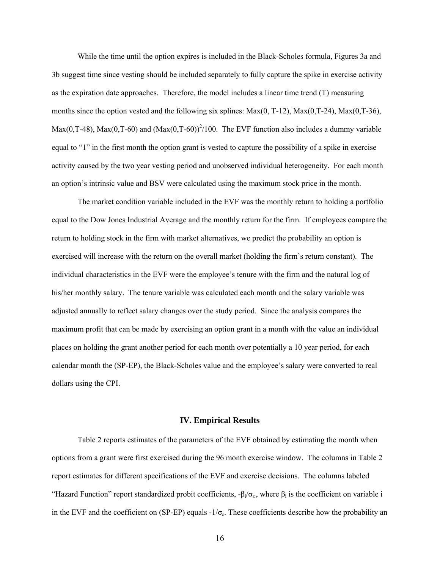While the time until the option expires is included in the Black-Scholes formula, Figures 3a and 3b suggest time since vesting should be included separately to fully capture the spike in exercise activity as the expiration date approaches. Therefore, the model includes a linear time trend (T) measuring months since the option vested and the following six splines:  $Max(0, T-12)$ ,  $Max(0, T-24)$ ,  $Max(0, T-36)$ ,  $Max(0, T-48)$ ,  $Max(0, T-60)$  and  $(Max(0, T-60))^{2}/100$ . The EVF function also includes a dummy variable equal to "1" in the first month the option grant is vested to capture the possibility of a spike in exercise activity caused by the two year vesting period and unobserved individual heterogeneity. For each month an option's intrinsic value and BSV were calculated using the maximum stock price in the month.

The market condition variable included in the EVF was the monthly return to holding a portfolio equal to the Dow Jones Industrial Average and the monthly return for the firm. If employees compare the return to holding stock in the firm with market alternatives, we predict the probability an option is exercised will increase with the return on the overall market (holding the firm's return constant). The individual characteristics in the EVF were the employee's tenure with the firm and the natural log of his/her monthly salary. The tenure variable was calculated each month and the salary variable was adjusted annually to reflect salary changes over the study period. Since the analysis compares the maximum profit that can be made by exercising an option grant in a month with the value an individual places on holding the grant another period for each month over potentially a 10 year period, for each calendar month the (SP-EP), the Black-Scholes value and the employee's salary were converted to real dollars using the CPI.

### **IV. Empirical Results**

 Table 2 reports estimates of the parameters of the EVF obtained by estimating the month when options from a grant were first exercised during the 96 month exercise window. The columns in Table 2 report estimates for different specifications of the EVF and exercise decisions. The columns labeled "Hazard Function" report standardized probit coefficients,  $-\beta_i/\sigma_{\epsilon}$ , where  $\beta_i$  is the coefficient on variable i in the EVF and the coefficient on (SP-EP) equals  $-1/\sigma_{\epsilon}$ . These coefficients describe how the probability an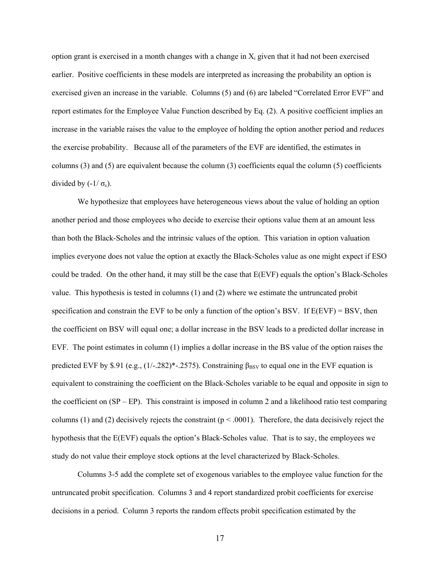option grant is exercised in a month changes with a change in  $X_i$  given that it had not been exercised earlier. Positive coefficients in these models are interpreted as increasing the probability an option is exercised given an increase in the variable. Columns (5) and (6) are labeled "Correlated Error EVF" and report estimates for the Employee Value Function described by Eq. (2). A positive coefficient implies an increase in the variable raises the value to the employee of holding the option another period and *reduces* the exercise probability. Because all of the parameters of the EVF are identified, the estimates in columns (3) and (5) are equivalent because the column (3) coefficients equal the column (5) coefficients divided by  $(-1/\sigma_{\epsilon})$ .

 We hypothesize that employees have heterogeneous views about the value of holding an option another period and those employees who decide to exercise their options value them at an amount less than both the Black-Scholes and the intrinsic values of the option. This variation in option valuation implies everyone does not value the option at exactly the Black-Scholes value as one might expect if ESO could be traded. On the other hand, it may still be the case that E(EVF) equals the option's Black-Scholes value. This hypothesis is tested in columns (1) and (2) where we estimate the untruncated probit specification and constrain the EVF to be only a function of the option's BSV. If E(EVF) = BSV, then the coefficient on BSV will equal one; a dollar increase in the BSV leads to a predicted dollar increase in EVF. The point estimates in column (1) implies a dollar increase in the BS value of the option raises the predicted EVF by \$.91 (e.g.,  $(1/-282)^*$ -.2575). Constraining  $\beta_{\rm BSV}$  to equal one in the EVF equation is equivalent to constraining the coefficient on the Black-Scholes variable to be equal and opposite in sign to the coefficient on (SP – EP). This constraint is imposed in column 2 and a likelihood ratio test comparing columns (1) and (2) decisively rejects the constraint ( $p < .0001$ ). Therefore, the data decisively reject the hypothesis that the E(EVF) equals the option's Black-Scholes value. That is to say, the employees we study do not value their employe stock options at the level characterized by Black-Scholes.

 Columns 3-5 add the complete set of exogenous variables to the employee value function for the untruncated probit specification. Columns 3 and 4 report standardized probit coefficients for exercise decisions in a period. Column 3 reports the random effects probit specification estimated by the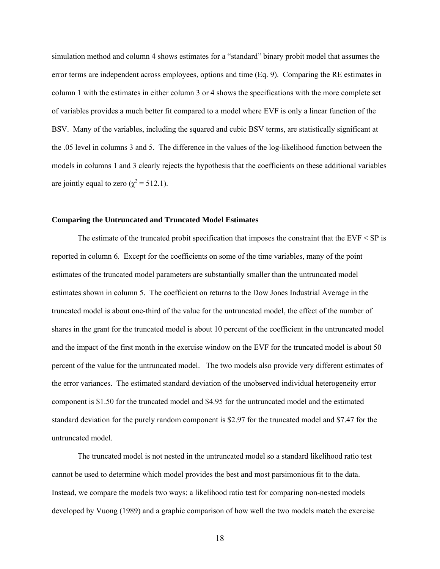simulation method and column 4 shows estimates for a "standard" binary probit model that assumes the error terms are independent across employees, options and time (Eq. 9). Comparing the RE estimates in column 1 with the estimates in either column 3 or 4 shows the specifications with the more complete set of variables provides a much better fit compared to a model where EVF is only a linear function of the BSV. Many of the variables, including the squared and cubic BSV terms, are statistically significant at the .05 level in columns 3 and 5. The difference in the values of the log-likelihood function between the models in columns 1 and 3 clearly rejects the hypothesis that the coefficients on these additional variables are jointly equal to zero ( $\chi^2$  = 512.1).

### **Comparing the Untruncated and Truncated Model Estimates**

The estimate of the truncated probit specification that imposes the constraint that the  $EVF < SP$  is reported in column 6. Except for the coefficients on some of the time variables, many of the point estimates of the truncated model parameters are substantially smaller than the untruncated model estimates shown in column 5. The coefficient on returns to the Dow Jones Industrial Average in the truncated model is about one-third of the value for the untruncated model, the effect of the number of shares in the grant for the truncated model is about 10 percent of the coefficient in the untruncated model and the impact of the first month in the exercise window on the EVF for the truncated model is about 50 percent of the value for the untruncated model. The two models also provide very different estimates of the error variances. The estimated standard deviation of the unobserved individual heterogeneity error component is \$1.50 for the truncated model and \$4.95 for the untruncated model and the estimated standard deviation for the purely random component is \$2.97 for the truncated model and \$7.47 for the untruncated model.

 The truncated model is not nested in the untruncated model so a standard likelihood ratio test cannot be used to determine which model provides the best and most parsimonious fit to the data. Instead, we compare the models two ways: a likelihood ratio test for comparing non-nested models developed by Vuong (1989) and a graphic comparison of how well the two models match the exercise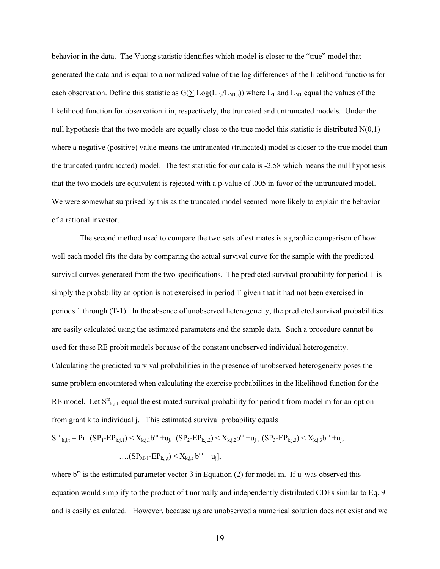behavior in the data. The Vuong statistic identifies which model is closer to the "true" model that generated the data and is equal to a normalized value of the log differences of the likelihood functions for each observation. Define this statistic as  $G(\sum Log(L_{T,i}/L_{NT,i}))$  where  $L_T$  and  $L_{NT}$  equal the values of the likelihood function for observation i in, respectively, the truncated and untruncated models. Under the null hypothesis that the two models are equally close to the true model this statistic is distributed  $N(0,1)$ where a negative (positive) value means the untruncated (truncated) model is closer to the true model than the truncated (untruncated) model. The test statistic for our data is -2.58 which means the null hypothesis that the two models are equivalent is rejected with a p-value of .005 in favor of the untruncated model. We were somewhat surprised by this as the truncated model seemed more likely to explain the behavior of a rational investor.

 The second method used to compare the two sets of estimates is a graphic comparison of how well each model fits the data by comparing the actual survival curve for the sample with the predicted survival curves generated from the two specifications. The predicted survival probability for period T is simply the probability an option is not exercised in period T given that it had not been exercised in periods 1 through (T-1). In the absence of unobserved heterogeneity, the predicted survival probabilities are easily calculated using the estimated parameters and the sample data. Such a procedure cannot be used for these RE probit models because of the constant unobserved individual heterogeneity. Calculating the predicted survival probabilities in the presence of unobserved heterogeneity poses the same problem encountered when calculating the exercise probabilities in the likelihood function for the RE model. Let  $S^{m}$ <sub>k,j,t</sub> equal the estimated survival probability for period t from model m for an option from grant k to individual j. This estimated survival probability equals

$$
S^{m}_{k,j,t} = Pr[ (SP_{1} - EP_{k,j,1}) < X_{k,j,1}b^{m} + u_{j}, (SP_{2} - EP_{k,j,2}) < X_{k,j,2}b^{m} + u_{j}, (SP_{3} - EP_{k,j,3}) < X_{k,j,3}b^{m} + u_{j}, ... (SP_{M-1} - EP_{k,j,t}) < X_{k,j,t}b^{m} + u_{j}],
$$

where  $b^m$  is the estimated parameter vector  $\beta$  in Equation (2) for model m. If  $u_j$  was observed this equation would simplify to the product of t normally and independently distributed CDFs similar to Eq. 9 and is easily calculated. However, because ujs are unobserved a numerical solution does not exist and we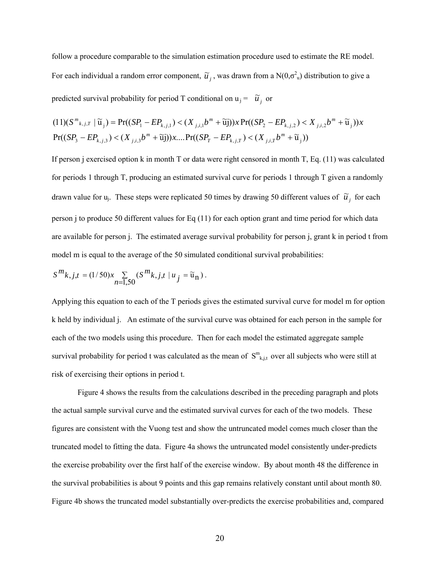follow a procedure comparable to the simulation estimation procedure used to estimate the RE model. For each individual a random error component,  $\tilde{u}_j$ , was drawn from a N(0, $\sigma^2$ <sub>u</sub>) distribution to give a predicted survival probability for period T conditional on  $u_j = \tilde{u}_j$  or

$$
(11)(S^{m}_{k,j,T} | \widetilde{u}_j) = \Pr((SP_1 - EP_{k,j,1}) < (X_{j,i,1}b^{m} + \widetilde{u}_j))x \Pr((SP_2 - EP_{k,j,2}) < X_{j,i,2}b^{m} + \widetilde{u}_j))x
$$
\n
$$
\Pr((SP_3 - EP_{k,j,3}) < (X_{j,i,3}b^{m} + \widetilde{u}_j))x \dots \Pr((SP_T - EP_{k,j,T}) < (X_{j,i,T}b^{m} + \widetilde{u}_j))
$$

If person j exercised option k in month T or data were right censored in month T, Eq. (11) was calculated for periods 1 through T, producing an estimated survival curve for periods 1 through T given a randomly drawn value for u<sub>j</sub>. These steps were replicated 50 times by drawing 50 different values of  $\tilde{u}_j$  for each person j to produce 50 different values for Eq (11) for each option grant and time period for which data are available for person j. The estimated average survival probability for person j, grant k in period t from model m is equal to the average of the 50 simulated conditional survival probabilities:

$$
S^m k, j,t=(1/50)x \mathop{\sum}\limits_{n=1,50}(S^m k, j,t\mid u_j=\widetilde{{\mathfrak u}}_n)\,.
$$

Applying this equation to each of the T periods gives the estimated survival curve for model m for option k held by individual j. An estimate of the survival curve was obtained for each person in the sample for each of the two models using this procedure. Then for each model the estimated aggregate sample survival probability for period t was calculated as the mean of  $S^{m}_{k,j,t}$  over all subjects who were still at risk of exercising their options in period t.

 Figure 4 shows the results from the calculations described in the preceding paragraph and plots the actual sample survival curve and the estimated survival curves for each of the two models. These figures are consistent with the Vuong test and show the untruncated model comes much closer than the truncated model to fitting the data. Figure 4a shows the untruncated model consistently under-predicts the exercise probability over the first half of the exercise window. By about month 48 the difference in the survival probabilities is about 9 points and this gap remains relatively constant until about month 80. Figure 4b shows the truncated model substantially over-predicts the exercise probabilities and, compared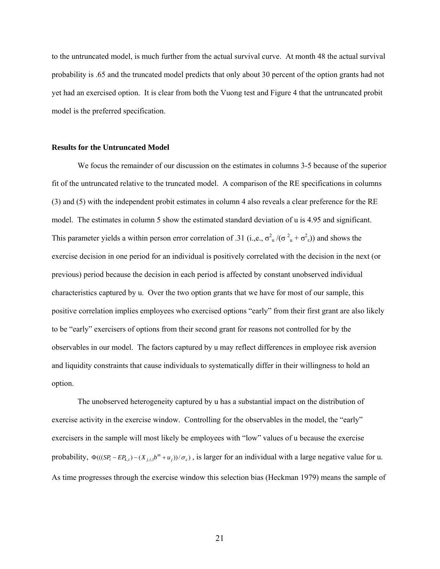to the untruncated model, is much further from the actual survival curve. At month 48 the actual survival probability is .65 and the truncated model predicts that only about 30 percent of the option grants had not yet had an exercised option. It is clear from both the Vuong test and Figure 4 that the untruncated probit model is the preferred specification.

### **Results for the Untruncated Model**

 We focus the remainder of our discussion on the estimates in columns 3-5 because of the superior fit of the untruncated relative to the truncated model. A comparison of the RE specifications in columns (3) and (5) with the independent probit estimates in column 4 also reveals a clear preference for the RE model. The estimates in column 5 show the estimated standard deviation of u is 4.95 and significant. This parameter yields a within person error correlation of .31 (i.,e.,  $\sigma_u^2 / (\sigma_u^2 + \sigma_s^2)$ ) and shows the exercise decision in one period for an individual is positively correlated with the decision in the next (or previous) period because the decision in each period is affected by constant unobserved individual characteristics captured by u. Over the two option grants that we have for most of our sample, this positive correlation implies employees who exercised options "early" from their first grant are also likely to be "early" exercisers of options from their second grant for reasons not controlled for by the observables in our model. The factors captured by u may reflect differences in employee risk aversion and liquidity constraints that cause individuals to systematically differ in their willingness to hold an option.

The unobserved heterogeneity captured by u has a substantial impact on the distribution of exercise activity in the exercise window. Controlling for the observables in the model, the "early" exercisers in the sample will most likely be employees with "low" values of u because the exercise probability,  $\Phi(((SP_t - EP_{k,t}) - (X_{j,t} b^m + u_j))/\sigma_s)$ , is larger for an individual with a large negative value for u. As time progresses through the exercise window this selection bias (Heckman 1979) means the sample of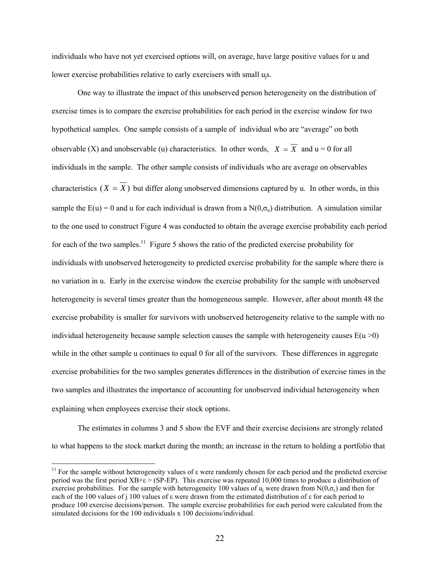individuals who have not yet exercised options will, on average, have large positive values for u and lower exercise probabilities relative to early exercisers with small u<sub>i</sub>s.

One way to illustrate the impact of this unobserved person heterogeneity on the distribution of exercise times is to compare the exercise probabilities for each period in the exercise window for two hypothetical samples. One sample consists of a sample of individual who are "average" on both observable (X) and unobservable (u) characteristics. In other words,  $X = \overline{X}$  and  $u = 0$  for all individuals in the sample. The other sample consists of individuals who are average on observables characteristics  $(X = \overline{X})$  but differ along unobserved dimensions captured by u. In other words, in this sample the  $E(u) = 0$  and u for each individual is drawn from a  $N(0, \sigma_u)$  distribution. A simulation similar to the one used to construct Figure 4 was conducted to obtain the average exercise probability each period for each of the two samples.<sup>11</sup> Figure 5 shows the ratio of the predicted exercise probability for individuals with unobserved heterogeneity to predicted exercise probability for the sample where there is no variation in u. Early in the exercise window the exercise probability for the sample with unobserved heterogeneity is several times greater than the homogeneous sample. However, after about month 48 the exercise probability is smaller for survivors with unobserved heterogeneity relative to the sample with no individual heterogeneity because sample selection causes the sample with heterogeneity causes  $E(u > 0)$ while in the other sample u continues to equal 0 for all of the survivors. These differences in aggregate exercise probabilities for the two samples generates differences in the distribution of exercise times in the two samples and illustrates the importance of accounting for unobserved individual heterogeneity when explaining when employees exercise their stock options.

 The estimates in columns 3 and 5 show the EVF and their exercise decisions are strongly related to what happens to the stock market during the month; an increase in the return to holding a portfolio that

 $\overline{a}$ 

<sup>&</sup>lt;sup>11</sup> For the sample without heterogeneity values of  $\varepsilon$  were randomly chosen for each period and the predicted exercise period was the first period  $XB+\epsilon > (SP-EP)$ . This exercise was repeated 10,000 times to produce a distribution of exercise probabilities. For the sample with heterogeneity 100 values of  $u_i$  were drawn from N(0, $\sigma_e$ ) and then for each of the 100 values of j 100 values of ε were drawn from the estimated distribution of ε for each period to produce 100 exercise decisions/person. The sample exercise probabilities for each period were calculated from the simulated decisions for the 100 individuals x 100 decisions/individual.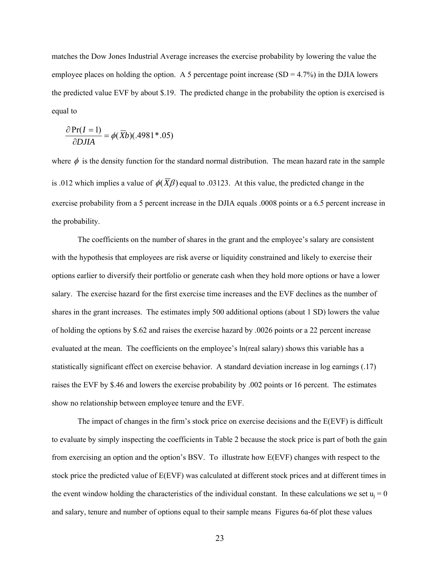matches the Dow Jones Industrial Average increases the exercise probability by lowering the value the employee places on holding the option. A 5 percentage point increase  $(SD = 4.7%)$  in the DJIA lowers the predicted value EVF by about \$.19. The predicted change in the probability the option is exercised is equal to

$$
\frac{\partial \Pr(I=1)}{\partial D J I A} = \phi(\overline{X}b)(.4981^*.05)
$$

where  $\phi$  is the density function for the standard normal distribution. The mean hazard rate in the sample is .012 which implies a value of  $\phi(\overline{X}\beta)$  equal to .03123. At this value, the predicted change in the exercise probability from a 5 percent increase in the DJIA equals .0008 points or a 6.5 percent increase in the probability.

The coefficients on the number of shares in the grant and the employee's salary are consistent with the hypothesis that employees are risk averse or liquidity constrained and likely to exercise their options earlier to diversify their portfolio or generate cash when they hold more options or have a lower salary. The exercise hazard for the first exercise time increases and the EVF declines as the number of shares in the grant increases. The estimates imply 500 additional options (about 1 SD) lowers the value of holding the options by \$.62 and raises the exercise hazard by .0026 points or a 22 percent increase evaluated at the mean. The coefficients on the employee's ln(real salary) shows this variable has a statistically significant effect on exercise behavior. A standard deviation increase in log earnings (.17) raises the EVF by \$.46 and lowers the exercise probability by .002 points or 16 percent. The estimates show no relationship between employee tenure and the EVF.

 The impact of changes in the firm's stock price on exercise decisions and the E(EVF) is difficult to evaluate by simply inspecting the coefficients in Table 2 because the stock price is part of both the gain from exercising an option and the option's BSV. To illustrate how E(EVF) changes with respect to the stock price the predicted value of E(EVF) was calculated at different stock prices and at different times in the event window holding the characteristics of the individual constant. In these calculations we set  $u_i = 0$ and salary, tenure and number of options equal to their sample means Figures 6a-6f plot these values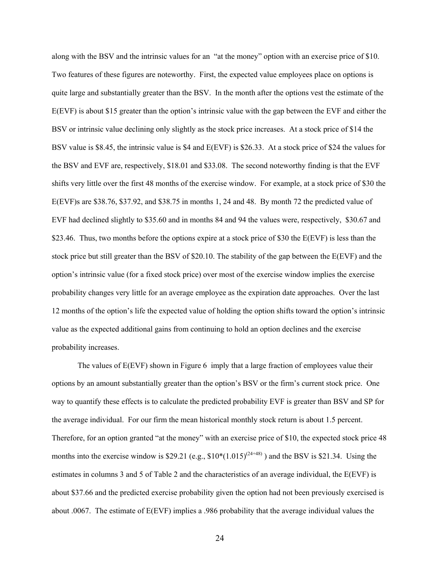along with the BSV and the intrinsic values for an "at the money" option with an exercise price of \$10. Two features of these figures are noteworthy. First, the expected value employees place on options is quite large and substantially greater than the BSV. In the month after the options vest the estimate of the E(EVF) is about \$15 greater than the option's intrinsic value with the gap between the EVF and either the BSV or intrinsic value declining only slightly as the stock price increases. At a stock price of \$14 the BSV value is \$8.45, the intrinsic value is \$4 and E(EVF) is \$26.33. At a stock price of \$24 the values for the BSV and EVF are, respectively, \$18.01 and \$33.08. The second noteworthy finding is that the EVF shifts very little over the first 48 months of the exercise window. For example, at a stock price of \$30 the E(EVF)s are \$38.76, \$37.92, and \$38.75 in months 1, 24 and 48. By month 72 the predicted value of EVF had declined slightly to \$35.60 and in months 84 and 94 the values were, respectively, \$30.67 and \$23.46. Thus, two months before the options expire at a stock price of \$30 the E(EVF) is less than the stock price but still greater than the BSV of \$20.10. The stability of the gap between the E(EVF) and the option's intrinsic value (for a fixed stock price) over most of the exercise window implies the exercise probability changes very little for an average employee as the expiration date approaches. Over the last 12 months of the option's life the expected value of holding the option shifts toward the option's intrinsic value as the expected additional gains from continuing to hold an option declines and the exercise probability increases.

The values of  $E(EVF)$  shown in Figure 6 imply that a large fraction of employees value their options by an amount substantially greater than the option's BSV or the firm's current stock price. One way to quantify these effects is to calculate the predicted probability EVF is greater than BSV and SP for the average individual. For our firm the mean historical monthly stock return is about 1.5 percent. Therefore, for an option granted "at the money" with an exercise price of \$10, the expected stock price 48 months into the exercise window is \$29.21 (e.g.,  $$10*(1.015)^{(24+48)}$ ) and the BSV is \$21.34. Using the estimates in columns 3 and 5 of Table 2 and the characteristics of an average individual, the E(EVF) is about \$37.66 and the predicted exercise probability given the option had not been previously exercised is about .0067. The estimate of E(EVF) implies a .986 probability that the average individual values the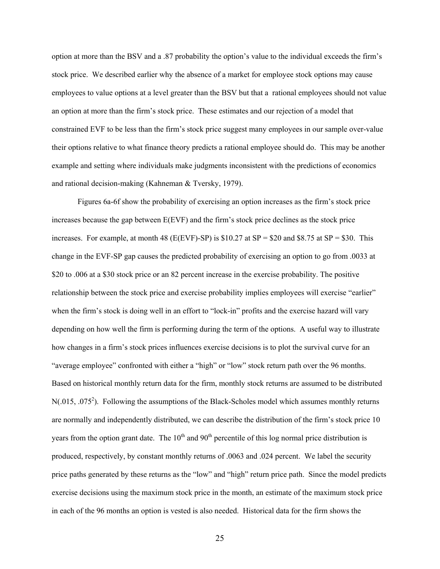option at more than the BSV and a .87 probability the option's value to the individual exceeds the firm's stock price. We described earlier why the absence of a market for employee stock options may cause employees to value options at a level greater than the BSV but that a rational employees should not value an option at more than the firm's stock price. These estimates and our rejection of a model that constrained EVF to be less than the firm's stock price suggest many employees in our sample over-value their options relative to what finance theory predicts a rational employee should do. This may be another example and setting where individuals make judgments inconsistent with the predictions of economics and rational decision-making (Kahneman & Tversky, 1979).

 Figures 6a-6f show the probability of exercising an option increases as the firm's stock price increases because the gap between E(EVF) and the firm's stock price declines as the stock price increases. For example, at month 48 (E(EVF)-SP) is  $$10.27$  at SP = \$20 and \$8.75 at SP = \$30. This change in the EVF-SP gap causes the predicted probability of exercising an option to go from .0033 at \$20 to .006 at a \$30 stock price or an 82 percent increase in the exercise probability. The positive relationship between the stock price and exercise probability implies employees will exercise "earlier" when the firm's stock is doing well in an effort to "lock-in" profits and the exercise hazard will vary depending on how well the firm is performing during the term of the options. A useful way to illustrate how changes in a firm's stock prices influences exercise decisions is to plot the survival curve for an "average employee" confronted with either a "high" or "low" stock return path over the 96 months. Based on historical monthly return data for the firm, monthly stock returns are assumed to be distributed N(.015, .075<sup>2</sup>). Following the assumptions of the Black-Scholes model which assumes monthly returns are normally and independently distributed, we can describe the distribution of the firm's stock price 10 years from the option grant date. The  $10<sup>th</sup>$  and  $90<sup>th</sup>$  percentile of this log normal price distribution is produced, respectively, by constant monthly returns of .0063 and .024 percent. We label the security price paths generated by these returns as the "low" and "high" return price path. Since the model predicts exercise decisions using the maximum stock price in the month, an estimate of the maximum stock price in each of the 96 months an option is vested is also needed. Historical data for the firm shows the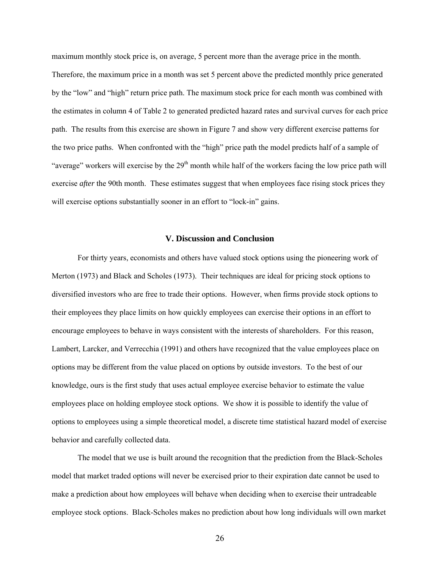maximum monthly stock price is, on average, 5 percent more than the average price in the month. Therefore, the maximum price in a month was set 5 percent above the predicted monthly price generated by the "low" and "high" return price path. The maximum stock price for each month was combined with the estimates in column 4 of Table 2 to generated predicted hazard rates and survival curves for each price path. The results from this exercise are shown in Figure 7 and show very different exercise patterns for the two price paths. When confronted with the "high" price path the model predicts half of a sample of "average" workers will exercise by the  $29<sup>th</sup>$  month while half of the workers facing the low price path will exercise *after* the 90th month. These estimates suggest that when employees face rising stock prices they will exercise options substantially sooner in an effort to "lock-in" gains.

### **V. Discussion and Conclusion**

 For thirty years, economists and others have valued stock options using the pioneering work of Merton (1973) and Black and Scholes (1973). Their techniques are ideal for pricing stock options to diversified investors who are free to trade their options. However, when firms provide stock options to their employees they place limits on how quickly employees can exercise their options in an effort to encourage employees to behave in ways consistent with the interests of shareholders. For this reason, Lambert, Larcker, and Verrecchia (1991) and others have recognized that the value employees place on options may be different from the value placed on options by outside investors. To the best of our knowledge, ours is the first study that uses actual employee exercise behavior to estimate the value employees place on holding employee stock options. We show it is possible to identify the value of options to employees using a simple theoretical model, a discrete time statistical hazard model of exercise behavior and carefully collected data.

The model that we use is built around the recognition that the prediction from the Black-Scholes model that market traded options will never be exercised prior to their expiration date cannot be used to make a prediction about how employees will behave when deciding when to exercise their untradeable employee stock options. Black-Scholes makes no prediction about how long individuals will own market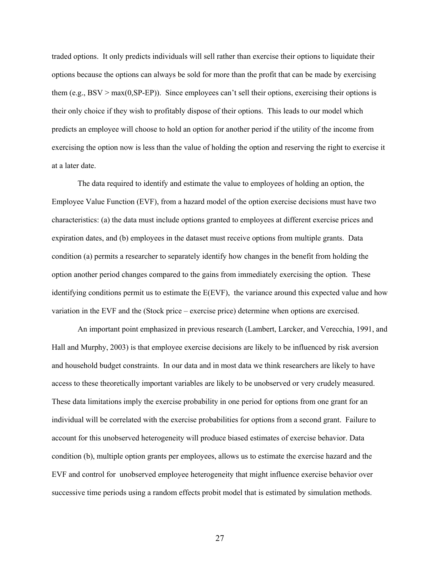traded options. It only predicts individuals will sell rather than exercise their options to liquidate their options because the options can always be sold for more than the profit that can be made by exercising them (e.g.,  $BSV > max(0, SP-EP)$ ). Since employees can't sell their options, exercising their options is their only choice if they wish to profitably dispose of their options. This leads to our model which predicts an employee will choose to hold an option for another period if the utility of the income from exercising the option now is less than the value of holding the option and reserving the right to exercise it at a later date.

The data required to identify and estimate the value to employees of holding an option, the Employee Value Function (EVF), from a hazard model of the option exercise decisions must have two characteristics: (a) the data must include options granted to employees at different exercise prices and expiration dates, and (b) employees in the dataset must receive options from multiple grants. Data condition (a) permits a researcher to separately identify how changes in the benefit from holding the option another period changes compared to the gains from immediately exercising the option. These identifying conditions permit us to estimate the E(EVF), the variance around this expected value and how variation in the EVF and the (Stock price – exercise price) determine when options are exercised.

An important point emphasized in previous research (Lambert, Larcker, and Verecchia, 1991, and Hall and Murphy, 2003) is that employee exercise decisions are likely to be influenced by risk aversion and household budget constraints. In our data and in most data we think researchers are likely to have access to these theoretically important variables are likely to be unobserved or very crudely measured. These data limitations imply the exercise probability in one period for options from one grant for an individual will be correlated with the exercise probabilities for options from a second grant. Failure to account for this unobserved heterogeneity will produce biased estimates of exercise behavior. Data condition (b), multiple option grants per employees, allows us to estimate the exercise hazard and the EVF and control for unobserved employee heterogeneity that might influence exercise behavior over successive time periods using a random effects probit model that is estimated by simulation methods.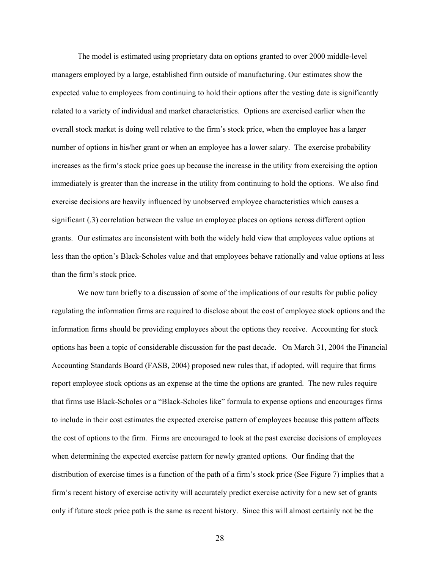The model is estimated using proprietary data on options granted to over 2000 middle-level managers employed by a large, established firm outside of manufacturing. Our estimates show the expected value to employees from continuing to hold their options after the vesting date is significantly related to a variety of individual and market characteristics. Options are exercised earlier when the overall stock market is doing well relative to the firm's stock price, when the employee has a larger number of options in his/her grant or when an employee has a lower salary. The exercise probability increases as the firm's stock price goes up because the increase in the utility from exercising the option immediately is greater than the increase in the utility from continuing to hold the options. We also find exercise decisions are heavily influenced by unobserved employee characteristics which causes a significant (.3) correlation between the value an employee places on options across different option grants. Our estimates are inconsistent with both the widely held view that employees value options at less than the option's Black-Scholes value and that employees behave rationally and value options at less than the firm's stock price.

 We now turn briefly to a discussion of some of the implications of our results for public policy regulating the information firms are required to disclose about the cost of employee stock options and the information firms should be providing employees about the options they receive. Accounting for stock options has been a topic of considerable discussion for the past decade. On March 31, 2004 the Financial Accounting Standards Board (FASB, 2004) proposed new rules that, if adopted, will require that firms report employee stock options as an expense at the time the options are granted. The new rules require that firms use Black-Scholes or a "Black-Scholes like" formula to expense options and encourages firms to include in their cost estimates the expected exercise pattern of employees because this pattern affects the cost of options to the firm. Firms are encouraged to look at the past exercise decisions of employees when determining the expected exercise pattern for newly granted options. Our finding that the distribution of exercise times is a function of the path of a firm's stock price (See Figure 7) implies that a firm's recent history of exercise activity will accurately predict exercise activity for a new set of grants only if future stock price path is the same as recent history. Since this will almost certainly not be the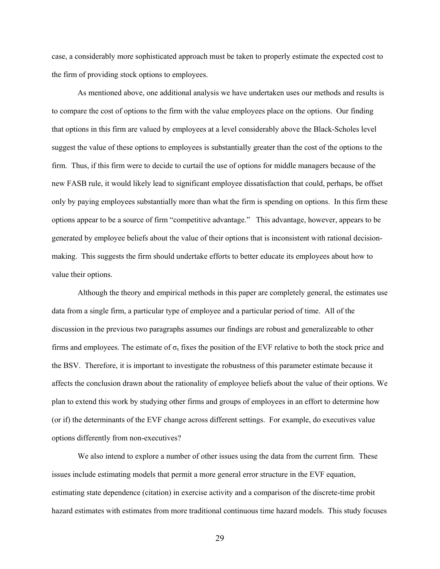case, a considerably more sophisticated approach must be taken to properly estimate the expected cost to the firm of providing stock options to employees.

 As mentioned above, one additional analysis we have undertaken uses our methods and results is to compare the cost of options to the firm with the value employees place on the options. Our finding that options in this firm are valued by employees at a level considerably above the Black-Scholes level suggest the value of these options to employees is substantially greater than the cost of the options to the firm. Thus, if this firm were to decide to curtail the use of options for middle managers because of the new FASB rule, it would likely lead to significant employee dissatisfaction that could, perhaps, be offset only by paying employees substantially more than what the firm is spending on options. In this firm these options appear to be a source of firm "competitive advantage." This advantage, however, appears to be generated by employee beliefs about the value of their options that is inconsistent with rational decisionmaking. This suggests the firm should undertake efforts to better educate its employees about how to value their options.

 Although the theory and empirical methods in this paper are completely general, the estimates use data from a single firm, a particular type of employee and a particular period of time. All of the discussion in the previous two paragraphs assumes our findings are robust and generalizeable to other firms and employees. The estimate of  $\sigma_{\varepsilon}$  fixes the position of the EVF relative to both the stock price and the BSV. Therefore, it is important to investigate the robustness of this parameter estimate because it affects the conclusion drawn about the rationality of employee beliefs about the value of their options. We plan to extend this work by studying other firms and groups of employees in an effort to determine how (or if) the determinants of the EVF change across different settings. For example, do executives value options differently from non-executives?

We also intend to explore a number of other issues using the data from the current firm. These issues include estimating models that permit a more general error structure in the EVF equation, estimating state dependence (citation) in exercise activity and a comparison of the discrete-time probit hazard estimates with estimates from more traditional continuous time hazard models. This study focuses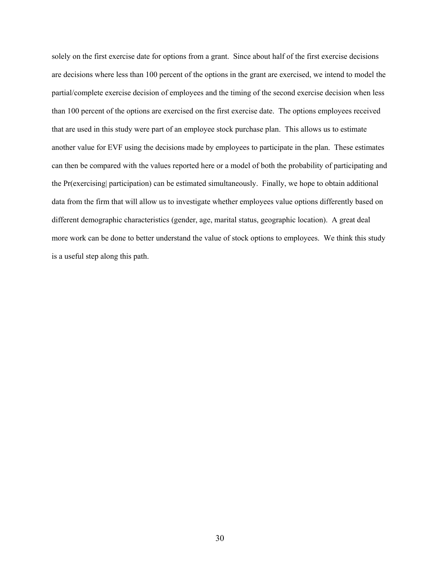solely on the first exercise date for options from a grant. Since about half of the first exercise decisions are decisions where less than 100 percent of the options in the grant are exercised, we intend to model the partial/complete exercise decision of employees and the timing of the second exercise decision when less than 100 percent of the options are exercised on the first exercise date. The options employees received that are used in this study were part of an employee stock purchase plan. This allows us to estimate another value for EVF using the decisions made by employees to participate in the plan. These estimates can then be compared with the values reported here or a model of both the probability of participating and the Pr(exercising| participation) can be estimated simultaneously. Finally, we hope to obtain additional data from the firm that will allow us to investigate whether employees value options differently based on different demographic characteristics (gender, age, marital status, geographic location). A great deal more work can be done to better understand the value of stock options to employees. We think this study is a useful step along this path.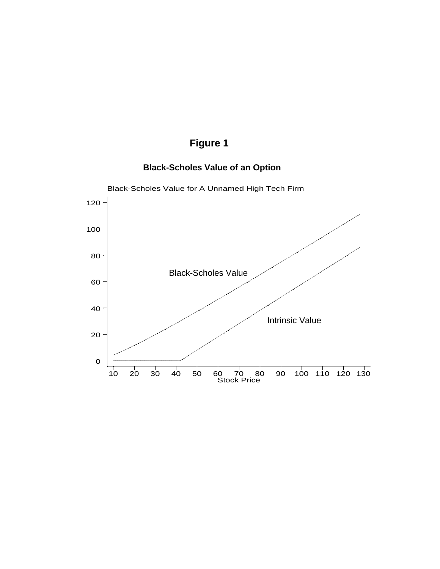# **Figure 1**

## **Black-Scholes Value of an Option**

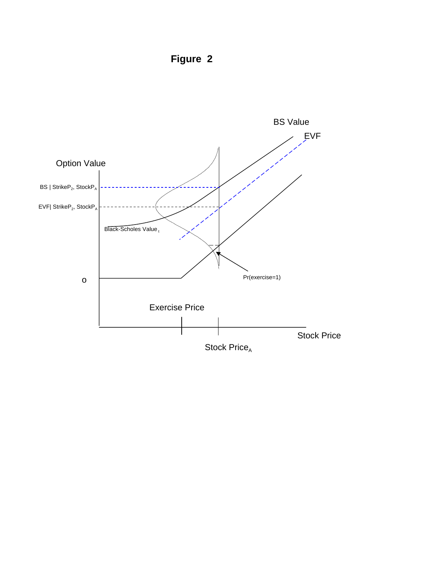**Figure 2**

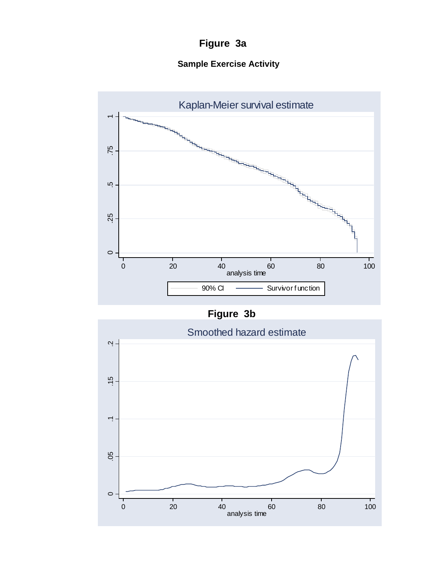# **Figure 3a**

# **Sample Exercise Activity**





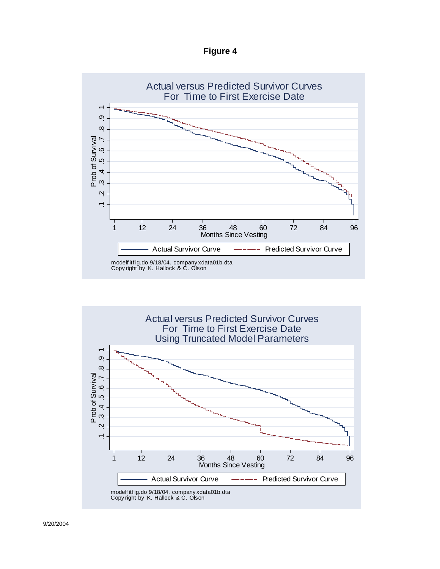**Figure 4**



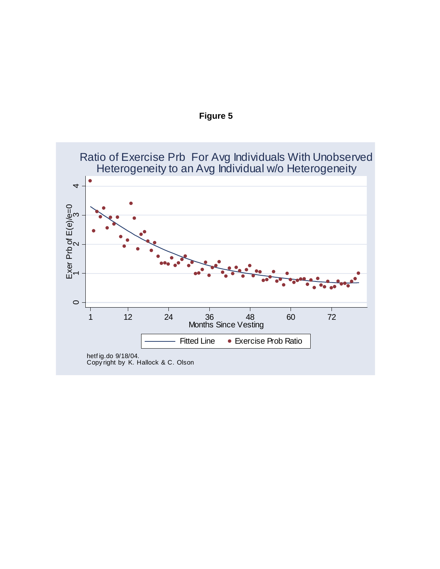

# Ratio of Exercise Prb For Avg Individuals With Unobserved Heterogeneity to an Avg Individual w/o Heterogeneity

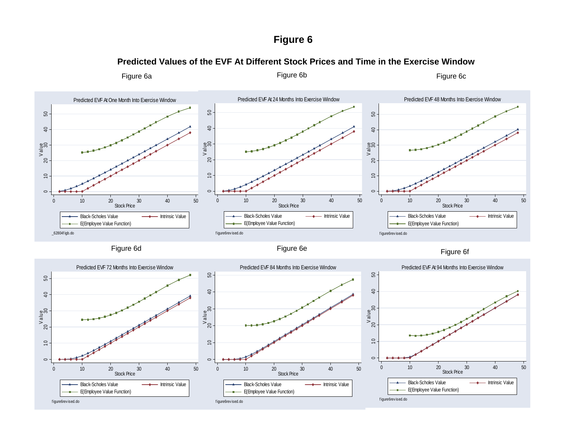# **Figure 6**

## **Predicted Values of the EVF At Different Stock Prices and Time in the Exercise Window**

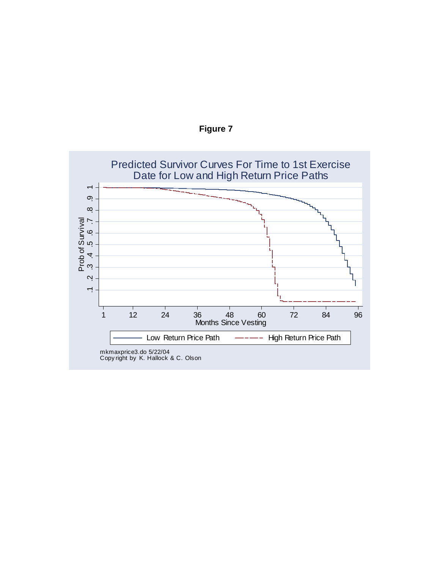

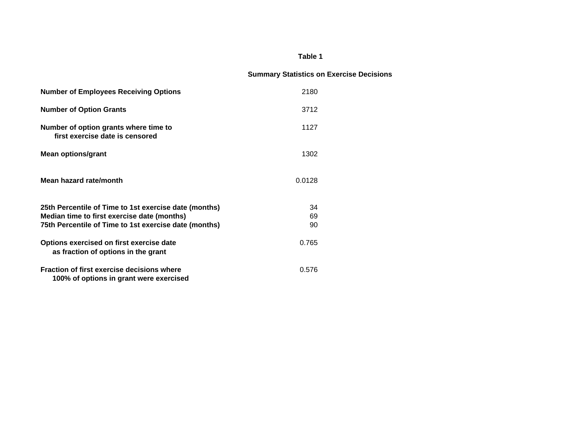#### **Table 1**

## **Summary Statistics on Exercise Decisions**

| <b>Number of Employees Receiving Options</b>                                          | 2180   |  |
|---------------------------------------------------------------------------------------|--------|--|
| <b>Number of Option Grants</b>                                                        | 3712   |  |
| Number of option grants where time to<br>first exercise date is censored              | 1127   |  |
| <b>Mean options/grant</b>                                                             | 1302   |  |
| Mean hazard rate/month                                                                | 0.0128 |  |
| 25th Percentile of Time to 1st exercise date (months)                                 | 34     |  |
| Median time to first exercise date (months)                                           | 69     |  |
| 75th Percentile of Time to 1st exercise date (months)                                 | 90     |  |
| Options exercised on first exercise date<br>as fraction of options in the grant       | 0.765  |  |
| Fraction of first exercise decisions where<br>100% of options in grant were exercised | 0.576  |  |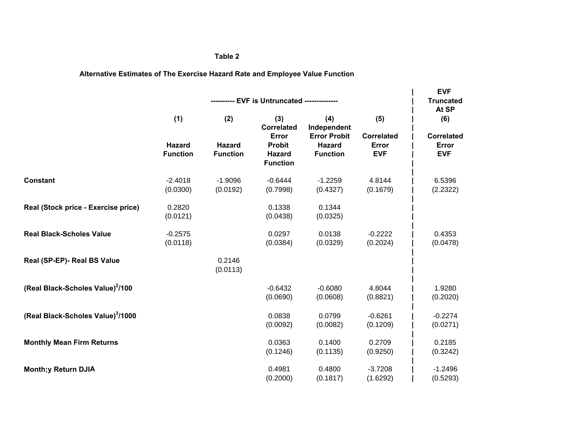#### **Table 2**

## **Alternative Estimates of The Exercise Hazard Rate and Employee Value Function**

|                                              | ---------- EVF is Untruncated -------------- |                                         |                                                                                 |                                                                               |                                                 | <b>EVF</b><br><b>Truncated</b>                           |
|----------------------------------------------|----------------------------------------------|-----------------------------------------|---------------------------------------------------------------------------------|-------------------------------------------------------------------------------|-------------------------------------------------|----------------------------------------------------------|
|                                              | (1)<br><b>Hazard</b><br><b>Function</b>      | (2)<br><b>Hazard</b><br><b>Function</b> | (3)<br><b>Correlated</b><br>Error<br><b>Probit</b><br>Hazard<br><b>Function</b> | (4)<br>Independent<br><b>Error Probit</b><br><b>Hazard</b><br><b>Function</b> | (5)<br><b>Correlated</b><br>Error<br><b>EVF</b> | At SP<br>(6)<br><b>Correlated</b><br>Error<br><b>EVF</b> |
|                                              |                                              |                                         |                                                                                 |                                                                               |                                                 |                                                          |
| <b>Constant</b>                              | $-2.4018$<br>(0.0300)                        | $-1.9096$<br>(0.0192)                   | $-0.6444$<br>(0.7998)                                                           | $-1.2259$<br>(0.4327)                                                         | 4.8144<br>(0.1679)                              | 6.5396<br>(2.2322)                                       |
| Real (Stock price - Exercise price)          | 0.2820<br>(0.0121)                           |                                         | 0.1338<br>(0.0438)                                                              | 0.1344<br>(0.0325)                                                            |                                                 |                                                          |
| <b>Real Black-Scholes Value</b>              | $-0.2575$<br>(0.0118)                        |                                         | 0.0297<br>(0.0384)                                                              | 0.0138<br>(0.0329)                                                            | $-0.2222$<br>(0.2024)                           | 0.4353<br>(0.0478)                                       |
| Real (SP-EP)- Real BS Value                  |                                              | 0.2146<br>(0.0113)                      |                                                                                 |                                                                               |                                                 |                                                          |
| (Real Black-Scholes Value) <sup>2</sup> /100 |                                              |                                         | $-0.6432$<br>(0.0690)                                                           | $-0.6080$<br>(0.0608)                                                         | 4.8044<br>(0.8821)                              | 1.9280<br>(0.2020)                                       |
| (Real Black-Scholes Value)3/1000             |                                              |                                         | 0.0838<br>(0.0092)                                                              | 0.0799<br>(0.0082)                                                            | $-0.6261$<br>(0.1209)                           | $-0.2274$<br>(0.0271)                                    |
| <b>Monthly Mean Firm Returns</b>             |                                              |                                         | 0.0363<br>(0.1246)                                                              | 0.1400<br>(0.1135)                                                            | 0.2709<br>(0.9250)                              | 0.2185<br>(0.3242)                                       |
| <b>Month;y Return DJIA</b>                   |                                              |                                         | 0.4981<br>(0.2000)                                                              | 0.4800<br>(0.1817)                                                            | $-3.7208$<br>(1.6292)                           | $-1.2496$<br>(0.5293)                                    |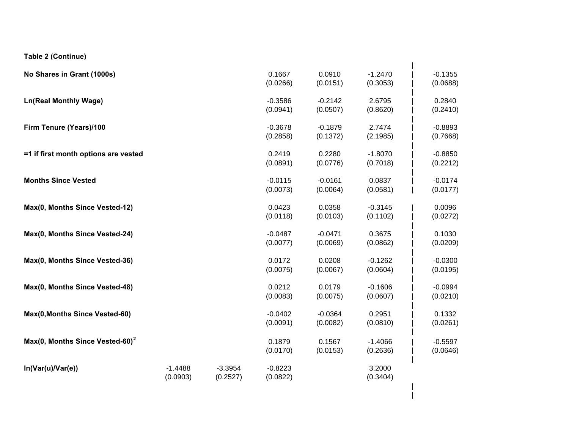**Table 2 (Continue)**

| No Shares in Grant (1000s)                  |                       |                       | 0.1667<br>(0.0266)    | 0.0910<br>(0.0151)    | $-1.2470$<br>(0.3053) | $-0.1355$<br>(0.0688) |
|---------------------------------------------|-----------------------|-----------------------|-----------------------|-----------------------|-----------------------|-----------------------|
| <b>Ln(Real Monthly Wage)</b>                |                       |                       | $-0.3586$<br>(0.0941) | $-0.2142$<br>(0.0507) | 2.6795<br>(0.8620)    | 0.2840<br>(0.2410)    |
| Firm Tenure (Years)/100                     |                       |                       | $-0.3678$<br>(0.2858) | $-0.1879$<br>(0.1372) | 2.7474<br>(2.1985)    | $-0.8893$<br>(0.7668) |
| =1 if first month options are vested        |                       |                       | 0.2419<br>(0.0891)    | 0.2280<br>(0.0776)    | $-1.8070$<br>(0.7018) | $-0.8850$<br>(0.2212) |
| <b>Months Since Vested</b>                  |                       |                       | $-0.0115$<br>(0.0073) | $-0.0161$<br>(0.0064) | 0.0837<br>(0.0581)    | $-0.0174$<br>(0.0177) |
| Max(0, Months Since Vested-12)              |                       |                       | 0.0423<br>(0.0118)    | 0.0358<br>(0.0103)    | $-0.3145$<br>(0.1102) | 0.0096<br>(0.0272)    |
| Max(0, Months Since Vested-24)              |                       |                       | $-0.0487$<br>(0.0077) | $-0.0471$<br>(0.0069) | 0.3675<br>(0.0862)    | 0.1030<br>(0.0209)    |
| Max(0, Months Since Vested-36)              |                       |                       | 0.0172<br>(0.0075)    | 0.0208<br>(0.0067)    | $-0.1262$<br>(0.0604) | $-0.0300$<br>(0.0195) |
| Max(0, Months Since Vested-48)              |                       |                       | 0.0212<br>(0.0083)    | 0.0179<br>(0.0075)    | $-0.1606$<br>(0.0607) | $-0.0994$<br>(0.0210) |
| Max(0, Months Since Vested-60)              |                       |                       | $-0.0402$<br>(0.0091) | $-0.0364$<br>(0.0082) | 0.2951<br>(0.0810)    | 0.1332<br>(0.0261)    |
| Max(0, Months Since Vested-60) <sup>2</sup> |                       |                       | 0.1879<br>(0.0170)    | 0.1567<br>(0.0153)    | $-1.4066$<br>(0.2636) | $-0.5597$<br>(0.0646) |
| In(Var(u)/Var(e))                           | $-1.4488$<br>(0.0903) | $-3.3954$<br>(0.2527) | $-0.8223$<br>(0.0822) |                       | 3.2000<br>(0.3404)    |                       |
|                                             |                       |                       |                       |                       |                       |                       |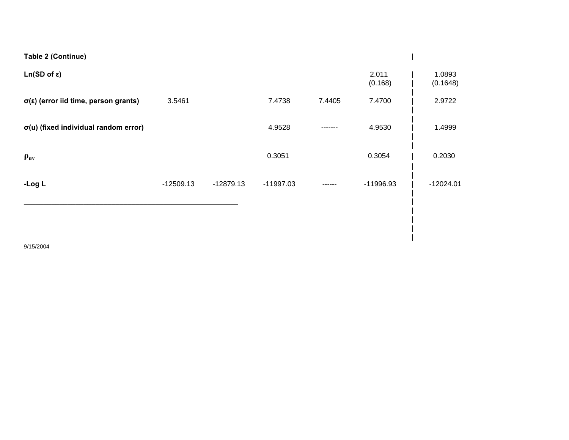| Table 2 (Continue)                                 |             |             |             |         |                  |                    |
|----------------------------------------------------|-------------|-------------|-------------|---------|------------------|--------------------|
| $Ln(SD of \epsilon)$                               |             |             |             |         | 2.011<br>(0.168) | 1.0893<br>(0.1648) |
| $\sigma(\epsilon)$ (error iid time, person grants) | 3.5461      |             | 7.4738      | 7.4405  | 7.4700           | 2.9722             |
| $\sigma(u)$ (fixed individual random error)        |             |             | 4.9528      | ------- | 4.9530           | 1.4999             |
| $\rho_{uv}$                                        |             |             | 0.3051      |         | 0.3054           | 0.2030             |
| -Log L                                             | $-12509.13$ | $-12879.13$ | $-11997.03$ |         | -11996.93        | $-12024.01$        |
|                                                    |             |             |             |         |                  |                    |
|                                                    |             |             |             |         |                  |                    |

**|**

9/15/2004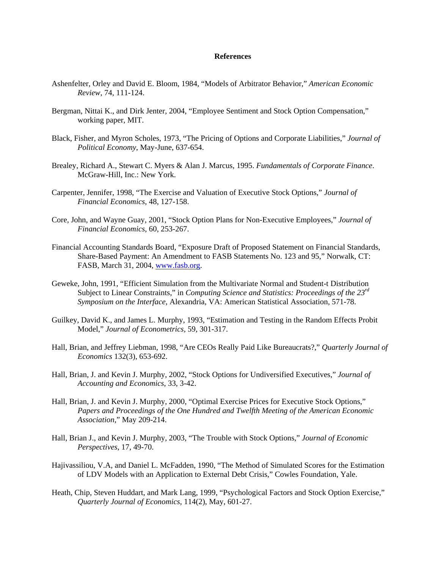#### **References**

- Ashenfelter, Orley and David E. Bloom, 1984, "Models of Arbitrator Behavior," *American Economic Review*, 74, 111-124.
- Bergman, Nittai K., and Dirk Jenter, 2004, "Employee Sentiment and Stock Option Compensation," working paper, MIT.
- Black, Fisher, and Myron Scholes, 1973, "The Pricing of Options and Corporate Liabilities," *Journal of Political Economy*, May-June, 637-654.
- Brealey, Richard A., Stewart C. Myers & Alan J. Marcus, 1995. *Fundamentals of Corporate Finance*. McGraw-Hill, Inc.: New York.
- Carpenter, Jennifer, 1998, "The Exercise and Valuation of Executive Stock Options," *Journal of Financial Economics*, 48, 127-158.
- Core, John, and Wayne Guay, 2001, "Stock Option Plans for Non-Executive Employees," *Journal of Financial Economics*, 60, 253-267.
- Financial Accounting Standards Board, "Exposure Draft of Proposed Statement on Financial Standards, Share-Based Payment: An Amendment to FASB Statements No. 123 and 95," Norwalk, CT: FASB, March 31, 2004, www.fasb.org.
- Geweke, John, 1991, "Efficient Simulation from the Multivariate Normal and Student-t Distribution Subject to Linear Constraints," in *Computing Science and Statistics: Proceedings of the 23rd Symposium on the Interface*, Alexandria, VA: American Statistical Association, 571-78.
- Guilkey, David K., and James L. Murphy, 1993, "Estimation and Testing in the Random Effects Probit Model," *Journal of Econometrics,* 59, 301-317.
- Hall, Brian, and Jeffrey Liebman, 1998, "Are CEOs Really Paid Like Bureaucrats?," *Quarterly Journal of Economics* 132(3), 653-692.
- Hall, Brian, J. and Kevin J. Murphy, 2002, "Stock Options for Undiversified Executives," *Journal of Accounting and Economics*, 33, 3-42.
- Hall, Brian, J. and Kevin J. Murphy, 2000, "Optimal Exercise Prices for Executive Stock Options," *Papers and Proceedings of the One Hundred and Twelfth Meeting of the American Economic Association*," May 209-214.
- Hall, Brian J., and Kevin J. Murphy, 2003, "The Trouble with Stock Options," *Journal of Economic Perspectives*, 17, 49-70.
- Hajivassiliou, V.A, and Daniel L. McFadden, 1990, "The Method of Simulated Scores for the Estimation of LDV Models with an Application to External Debt Crisis," Cowles Foundation, Yale.
- Heath, Chip, Steven Huddart, and Mark Lang, 1999, "Psychological Factors and Stock Option Exercise," *Quarterly Journal of Economics*, 114(2), May, 601-27.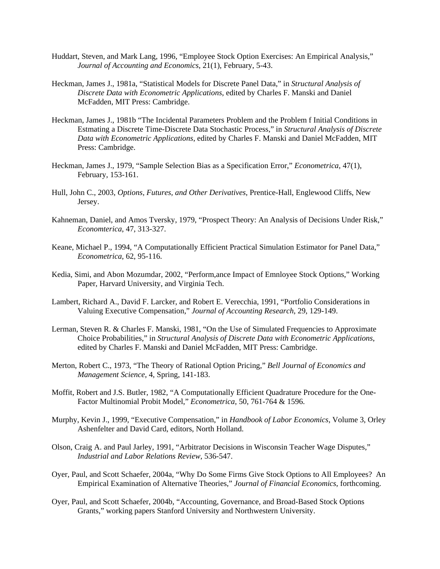- Huddart, Steven, and Mark Lang, 1996, "Employee Stock Option Exercises: An Empirical Analysis," *Journal of Accounting and Economics*, 21(1), February, 5-43.
- Heckman, James J., 1981a, "Statistical Models for Discrete Panel Data," in *Structural Analysis of Discrete Data with Econometric Applications*, edited by Charles F. Manski and Daniel McFadden, MIT Press: Cambridge.
- Heckman, James J., 1981b "The Incidental Parameters Problem and the Problem f Initial Conditions in Estmating a Discrete Time-Discrete Data Stochastic Process," in *Structural Analysis of Discrete Data with Econometric Applications*, edited by Charles F. Manski and Daniel McFadden, MIT Press: Cambridge.
- Heckman, James J., 1979, "Sample Selection Bias as a Specification Error," *Econometrica*, 47(1), February, 153-161.
- Hull, John C., 2003, *Options, Futures, and Other Derivatives*, Prentice-Hall, Englewood Cliffs, New Jersey.
- Kahneman, Daniel, and Amos Tversky, 1979, "Prospect Theory: An Analysis of Decisions Under Risk," *Economterica*, 47, 313-327.
- Keane, Michael P., 1994, "A Computationally Efficient Practical Simulation Estimator for Panel Data," *Econometrica*, 62, 95-116.
- Kedia, Simi, and Abon Mozumdar, 2002, "Perform,ance Impact of Emnloyee Stock Options," Working Paper, Harvard University, and Virginia Tech.
- Lambert, Richard A., David F. Larcker, and Robert E. Verecchia, 1991, "Portfolio Considerations in Valuing Executive Compensation," *Journal of Accounting Research*, 29, 129-149.
- Lerman, Steven R. & Charles F. Manski, 1981, "On the Use of Simulated Frequencies to Approximate Choice Probabilities," in *Structural Analysis of Discrete Data with Econometric Applications*, edited by Charles F. Manski and Daniel McFadden, MIT Press: Cambridge.
- Merton, Robert C., 1973, "The Theory of Rational Option Pricing," *Bell Journal of Economics and Management Science*, 4, Spring, 141-183.
- Moffit, Robert and J.S. Butler, 1982, "A Computationally Efficient Quadrature Procedure for the One-Factor Multinomial Probit Model," *Econometrica*, 50, 761-764 & 1596.
- Murphy, Kevin J., 1999, "Executive Compensation," in *Handbook of Labor Economics*, Volume 3, Orley Ashenfelter and David Card, editors, North Holland.
- Olson, Craig A. and Paul Jarley, 1991, "Arbitrator Decisions in Wisconsin Teacher Wage Disputes," *Industrial and Labor Relations Review*, 536-547.
- Oyer, Paul, and Scott Schaefer, 2004a, "Why Do Some Firms Give Stock Options to All Employees? An Empirical Examination of Alternative Theories," *Journal of Financial Economics*, forthcoming.
- Oyer, Paul, and Scott Schaefer, 2004b, "Accounting, Governance, and Broad-Based Stock Options Grants," working papers Stanford University and Northwestern University.